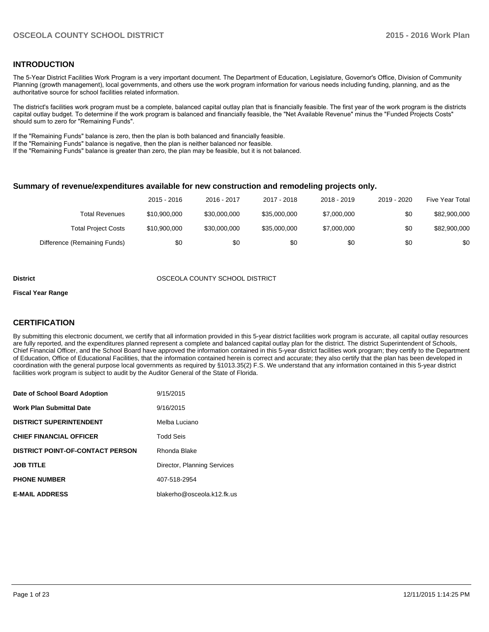## **INTRODUCTION**

The 5-Year District Facilities Work Program is a very important document. The Department of Education, Legislature, Governor's Office, Division of Community Planning (growth management), local governments, and others use the work program information for various needs including funding, planning, and as the authoritative source for school facilities related information.

The district's facilities work program must be a complete, balanced capital outlay plan that is financially feasible. The first year of the work program is the districts capital outlay budget. To determine if the work program is balanced and financially feasible, the "Net Available Revenue" minus the "Funded Projects Costs" should sum to zero for "Remaining Funds".

If the "Remaining Funds" balance is zero, then the plan is both balanced and financially feasible.

If the "Remaining Funds" balance is negative, then the plan is neither balanced nor feasible.

If the "Remaining Funds" balance is greater than zero, the plan may be feasible, but it is not balanced.

#### **Summary of revenue/expenditures available for new construction and remodeling projects only.**

|                              | 2015 - 2016  | 2016 - 2017  | 2017 - 2018  | 2018 - 2019 | 2019 - 2020 | Five Year Total |
|------------------------------|--------------|--------------|--------------|-------------|-------------|-----------------|
| Total Revenues               | \$10,900,000 | \$30,000,000 | \$35,000,000 | \$7,000,000 | \$0         | \$82,900,000    |
| <b>Total Project Costs</b>   | \$10,900,000 | \$30,000,000 | \$35,000,000 | \$7,000,000 | \$0         | \$82,900,000    |
| Difference (Remaining Funds) | \$0          | \$0          | \$0          | \$0         | \$0         | \$0             |

#### **District** OSCEOLA COUNTY SCHOOL DISTRICT

#### **Fiscal Year Range**

## **CERTIFICATION**

By submitting this electronic document, we certify that all information provided in this 5-year district facilities work program is accurate, all capital outlay resources are fully reported, and the expenditures planned represent a complete and balanced capital outlay plan for the district. The district Superintendent of Schools, Chief Financial Officer, and the School Board have approved the information contained in this 5-year district facilities work program; they certify to the Department of Education, Office of Educational Facilities, that the information contained herein is correct and accurate; they also certify that the plan has been developed in coordination with the general purpose local governments as required by §1013.35(2) F.S. We understand that any information contained in this 5-year district facilities work program is subject to audit by the Auditor General of the State of Florida.

| Date of School Board Adoption           | 9/15/2015                   |
|-----------------------------------------|-----------------------------|
| <b>Work Plan Submittal Date</b>         | 9/16/2015                   |
| <b>DISTRICT SUPERINTENDENT</b>          | Melba Luciano               |
| <b>CHIEF FINANCIAL OFFICER</b>          | <b>Todd Seis</b>            |
| <b>DISTRICT POINT-OF-CONTACT PERSON</b> | Rhonda Blake                |
| <b>JOB TITLE</b>                        | Director, Planning Services |
| <b>PHONE NUMBER</b>                     | 407-518-2954                |
| <b>E-MAIL ADDRESS</b>                   | blakerho@osceola.k12.fk.us  |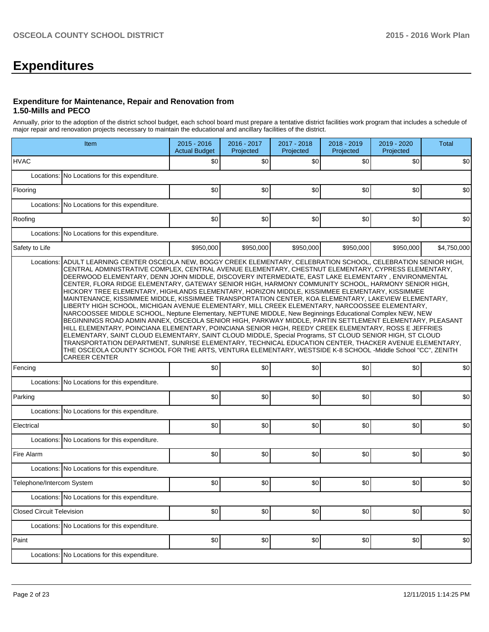# **Expenditures**

#### **Expenditure for Maintenance, Repair and Renovation from 1.50-Mills and PECO**

Annually, prior to the adoption of the district school budget, each school board must prepare a tentative district facilities work program that includes a schedule of major repair and renovation projects necessary to maintain the educational and ancillary facilities of the district.

|                                  | Item                                                                                                                                                                                                                                                                                                                                                                                                                                                                                                                                                                                                                                                                                                                                                                                                                                                                                                                                                                                                                                                                                                                                                                                                                                                                                                                                                                                                                                  | $2015 - 2016$<br><b>Actual Budget</b> | 2016 - 2017<br>Projected | 2017 - 2018<br>Projected | 2018 - 2019<br>Projected | 2019 - 2020<br>Projected | <b>Total</b> |  |  |  |  |
|----------------------------------|---------------------------------------------------------------------------------------------------------------------------------------------------------------------------------------------------------------------------------------------------------------------------------------------------------------------------------------------------------------------------------------------------------------------------------------------------------------------------------------------------------------------------------------------------------------------------------------------------------------------------------------------------------------------------------------------------------------------------------------------------------------------------------------------------------------------------------------------------------------------------------------------------------------------------------------------------------------------------------------------------------------------------------------------------------------------------------------------------------------------------------------------------------------------------------------------------------------------------------------------------------------------------------------------------------------------------------------------------------------------------------------------------------------------------------------|---------------------------------------|--------------------------|--------------------------|--------------------------|--------------------------|--------------|--|--|--|--|
| <b>HVAC</b>                      |                                                                                                                                                                                                                                                                                                                                                                                                                                                                                                                                                                                                                                                                                                                                                                                                                                                                                                                                                                                                                                                                                                                                                                                                                                                                                                                                                                                                                                       | \$0                                   | \$0                      | \$0                      | \$0                      | \$0                      | \$0          |  |  |  |  |
|                                  | Locations: No Locations for this expenditure.                                                                                                                                                                                                                                                                                                                                                                                                                                                                                                                                                                                                                                                                                                                                                                                                                                                                                                                                                                                                                                                                                                                                                                                                                                                                                                                                                                                         |                                       |                          |                          |                          |                          |              |  |  |  |  |
| Flooring                         |                                                                                                                                                                                                                                                                                                                                                                                                                                                                                                                                                                                                                                                                                                                                                                                                                                                                                                                                                                                                                                                                                                                                                                                                                                                                                                                                                                                                                                       | \$0                                   | \$0                      | \$0                      | \$0                      | \$0                      | \$0          |  |  |  |  |
|                                  | Locations: No Locations for this expenditure.                                                                                                                                                                                                                                                                                                                                                                                                                                                                                                                                                                                                                                                                                                                                                                                                                                                                                                                                                                                                                                                                                                                                                                                                                                                                                                                                                                                         |                                       |                          |                          |                          |                          |              |  |  |  |  |
| Roofing                          |                                                                                                                                                                                                                                                                                                                                                                                                                                                                                                                                                                                                                                                                                                                                                                                                                                                                                                                                                                                                                                                                                                                                                                                                                                                                                                                                                                                                                                       | \$0                                   | \$0                      | \$0                      | \$0                      | \$0                      | \$0          |  |  |  |  |
| Locations:                       | No Locations for this expenditure.                                                                                                                                                                                                                                                                                                                                                                                                                                                                                                                                                                                                                                                                                                                                                                                                                                                                                                                                                                                                                                                                                                                                                                                                                                                                                                                                                                                                    |                                       |                          |                          |                          |                          |              |  |  |  |  |
| Safety to Life                   |                                                                                                                                                                                                                                                                                                                                                                                                                                                                                                                                                                                                                                                                                                                                                                                                                                                                                                                                                                                                                                                                                                                                                                                                                                                                                                                                                                                                                                       | \$950,000                             | \$950,000                | \$950,000                | \$950,000                | \$950,000                | \$4,750,000  |  |  |  |  |
|                                  | ADULT LEARNING CENTER OSCEOLA NEW, BOGGY CREEK ELEMENTARY, CELEBRATION SCHOOL, CELEBRATION SENIOR HIGH,<br>CENTRAL ADMINISTRATIVE COMPLEX, CENTRAL AVENUE ELEMENTARY, CHESTNUT ELEMENTARY, CYPRESS ELEMENTARY,<br>DEERWOOD ELEMENTARY, DENN JOHN MIDDLE, DISCOVERY INTERMEDIATE, EAST LAKE ELEMENTARY, ENVIRONMENTAL<br>CENTER, FLORA RIDGE ELEMENTARY, GATEWAY SENIOR HIGH, HARMONY COMMUNITY SCHOOL, HARMONY SENIOR HIGH,<br>HICKORY TREE ELEMENTARY, HIGHLANDS ELEMENTARY, HORIZON MIDDLE, KISSIMMEE ELEMENTARY, KISSIMMEE<br>MAINTENANCE, KISSIMMEE MIDDLE, KISSIMMEE TRANSPORTATION CENTER, KOA ELEMENTARY, LAKEVIEW ELEMENTARY,<br>LIBERTY HIGH SCHOOL, MICHIGAN AVENUE ELEMENTARY, MILL CREEK ELEMENTARY, NARCOOSSEE ELEMENTARY,<br>NARCOOSSEE MIDDLE SCHOOL, Neptune Elementary, NEPTUNE MIDDLE, New Beginnings Educational Complex NEW, NEW<br>BEGINNINGS ROAD ADMIN ANNEX, OSCEOLA SENIOR HIGH, PARKWAY MIDDLE, PARTIN SETTLEMENT ELEMENTARY, PLEASANT<br>HILL ELEMENTARY, POINCIANA ELEMENTARY, POINCIANA SENIOR HIGH, REEDY CREEK ELEMENTARY, ROSS E JEFFRIES<br>ELEMENTARY, SAINT CLOUD ELEMENTARY, SAINT CLOUD MIDDLE, Special Programs, ST CLOUD SENIOR HIGH, ST CLOUD<br>TRANSPORTATION DEPARTMENT, SUNRISE ELEMENTARY, TECHNICAL EDUCATION CENTER, THACKER AVENUE ELEMENTARY,<br>THE OSCEOLA COUNTY SCHOOL FOR THE ARTS, VENTURA ELEMENTARY, WESTSIDE K-8 SCHOOL -Middle School "CC", ZENITH<br><b>CAREER CENTER</b> |                                       |                          |                          |                          |                          |              |  |  |  |  |
| Fencing                          |                                                                                                                                                                                                                                                                                                                                                                                                                                                                                                                                                                                                                                                                                                                                                                                                                                                                                                                                                                                                                                                                                                                                                                                                                                                                                                                                                                                                                                       | \$0                                   | \$0                      | \$0                      | \$0                      | \$0                      | \$0          |  |  |  |  |
|                                  | Locations: No Locations for this expenditure.                                                                                                                                                                                                                                                                                                                                                                                                                                                                                                                                                                                                                                                                                                                                                                                                                                                                                                                                                                                                                                                                                                                                                                                                                                                                                                                                                                                         |                                       |                          |                          |                          |                          |              |  |  |  |  |
| Parking                          |                                                                                                                                                                                                                                                                                                                                                                                                                                                                                                                                                                                                                                                                                                                                                                                                                                                                                                                                                                                                                                                                                                                                                                                                                                                                                                                                                                                                                                       | \$0                                   | \$0                      | \$0                      | \$0                      | \$0                      | \$0          |  |  |  |  |
|                                  | Locations: No Locations for this expenditure.                                                                                                                                                                                                                                                                                                                                                                                                                                                                                                                                                                                                                                                                                                                                                                                                                                                                                                                                                                                                                                                                                                                                                                                                                                                                                                                                                                                         |                                       |                          |                          |                          |                          |              |  |  |  |  |
| Electrical                       |                                                                                                                                                                                                                                                                                                                                                                                                                                                                                                                                                                                                                                                                                                                                                                                                                                                                                                                                                                                                                                                                                                                                                                                                                                                                                                                                                                                                                                       | \$0                                   | \$0                      | \$0                      | \$0                      | \$0                      | \$0          |  |  |  |  |
|                                  | Locations: No Locations for this expenditure.                                                                                                                                                                                                                                                                                                                                                                                                                                                                                                                                                                                                                                                                                                                                                                                                                                                                                                                                                                                                                                                                                                                                                                                                                                                                                                                                                                                         |                                       |                          |                          |                          |                          |              |  |  |  |  |
| Fire Alarm                       |                                                                                                                                                                                                                                                                                                                                                                                                                                                                                                                                                                                                                                                                                                                                                                                                                                                                                                                                                                                                                                                                                                                                                                                                                                                                                                                                                                                                                                       | \$0                                   | \$0                      | \$0                      | \$0                      | \$0                      | \$0          |  |  |  |  |
|                                  | Locations: No Locations for this expenditure.                                                                                                                                                                                                                                                                                                                                                                                                                                                                                                                                                                                                                                                                                                                                                                                                                                                                                                                                                                                                                                                                                                                                                                                                                                                                                                                                                                                         |                                       |                          |                          |                          |                          |              |  |  |  |  |
| Telephone/Intercom System        |                                                                                                                                                                                                                                                                                                                                                                                                                                                                                                                                                                                                                                                                                                                                                                                                                                                                                                                                                                                                                                                                                                                                                                                                                                                                                                                                                                                                                                       | \$0                                   | \$0                      | \$0                      | \$0                      | \$0                      | \$0          |  |  |  |  |
|                                  | Locations: No Locations for this expenditure.                                                                                                                                                                                                                                                                                                                                                                                                                                                                                                                                                                                                                                                                                                                                                                                                                                                                                                                                                                                                                                                                                                                                                                                                                                                                                                                                                                                         |                                       |                          |                          |                          |                          |              |  |  |  |  |
| <b>Closed Circuit Television</b> |                                                                                                                                                                                                                                                                                                                                                                                                                                                                                                                                                                                                                                                                                                                                                                                                                                                                                                                                                                                                                                                                                                                                                                                                                                                                                                                                                                                                                                       | \$0                                   | \$0                      | \$0                      | \$0                      | \$0                      | \$0          |  |  |  |  |
|                                  | Locations: No Locations for this expenditure.                                                                                                                                                                                                                                                                                                                                                                                                                                                                                                                                                                                                                                                                                                                                                                                                                                                                                                                                                                                                                                                                                                                                                                                                                                                                                                                                                                                         |                                       |                          |                          |                          |                          |              |  |  |  |  |
| Paint                            |                                                                                                                                                                                                                                                                                                                                                                                                                                                                                                                                                                                                                                                                                                                                                                                                                                                                                                                                                                                                                                                                                                                                                                                                                                                                                                                                                                                                                                       | \$0                                   | \$0                      | \$0                      | \$0                      | \$0                      | \$0          |  |  |  |  |
|                                  | Locations: No Locations for this expenditure.                                                                                                                                                                                                                                                                                                                                                                                                                                                                                                                                                                                                                                                                                                                                                                                                                                                                                                                                                                                                                                                                                                                                                                                                                                                                                                                                                                                         |                                       |                          |                          |                          |                          |              |  |  |  |  |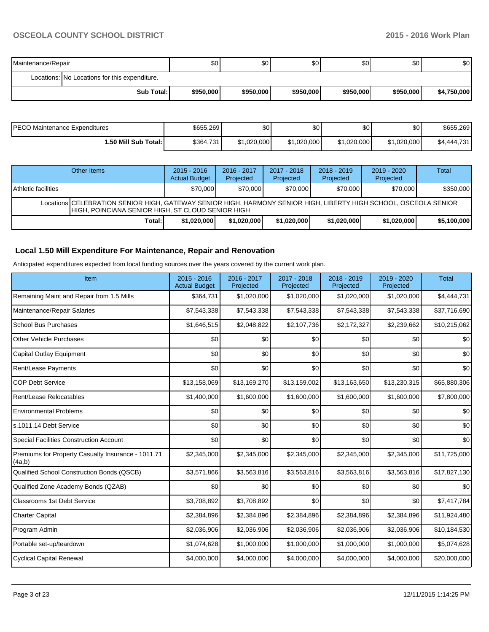| Maintenance/Repair |                                               | \$0       | \$0I      | \$0       | \$0       | \$0       | \$0         |
|--------------------|-----------------------------------------------|-----------|-----------|-----------|-----------|-----------|-------------|
|                    | Locations: No Locations for this expenditure. |           |           |           |           |           |             |
|                    | Sub Total:                                    | \$950,000 | \$950,000 | \$950,000 | \$950,000 | \$950,000 | \$4,750,000 |

| PECO Maintenance Expenditures | \$655,269 | \$0         | \$0         | \$0         | \$0 <sub>1</sub> | \$655.269   |
|-------------------------------|-----------|-------------|-------------|-------------|------------------|-------------|
| 1.50 Mill Sub Total: I        | \$364,731 | \$1,020,000 | \$1.020.000 | \$1,020,000 | \$1,020,000      | \$4,444,731 |

|                            | Other Items                                                                                                                                                             | $2015 - 2016$<br><b>Actual Budget</b> | $2016 - 2017$<br>Projected | $2017 - 2018$<br>Projected | $2018 - 2019$<br>Projected | $2019 - 2020$<br>Projected | Total       |  |  |  |
|----------------------------|-------------------------------------------------------------------------------------------------------------------------------------------------------------------------|---------------------------------------|----------------------------|----------------------------|----------------------------|----------------------------|-------------|--|--|--|
| <b>Athletic facilities</b> |                                                                                                                                                                         | \$70,000                              | \$70,000                   | \$70,000                   | \$70,000                   | \$70,000                   | \$350,000   |  |  |  |
|                            | Locations   CELEBRATION SENIOR HIGH, GATEWAY SENIOR HIGH, HARMONY SENIOR HIGH, LIBERTY HIGH SCHOOL, OSCEOLA SENIOR<br>HIGH, POINCIANA SENIOR HIGH, ST CLOUD SENIOR HIGH |                                       |                            |                            |                            |                            |             |  |  |  |
|                            | Total:                                                                                                                                                                  | \$1.020.000                           | \$1,020,000                | \$1,020,000                | \$1,020,000                | \$1,020,000                | \$5,100,000 |  |  |  |

# **Local 1.50 Mill Expenditure For Maintenance, Repair and Renovation**

Anticipated expenditures expected from local funding sources over the years covered by the current work plan.

| Item                                                         | 2015 - 2016<br><b>Actual Budget</b> | 2016 - 2017<br>Projected | 2017 - 2018<br>Projected | 2018 - 2019<br>Projected | 2019 - 2020<br>Projected | <b>Total</b> |
|--------------------------------------------------------------|-------------------------------------|--------------------------|--------------------------|--------------------------|--------------------------|--------------|
| Remaining Maint and Repair from 1.5 Mills                    | \$364,731                           | \$1,020,000              | \$1,020,000              | \$1,020,000              | \$1,020,000              | \$4,444,731  |
| Maintenance/Repair Salaries                                  | \$7,543,338                         | \$7,543,338              | \$7,543,338              | \$7,543,338              | \$7,543,338              | \$37,716,690 |
| <b>School Bus Purchases</b>                                  | \$1,646,515                         | \$2,048,822              | \$2,107,736              | \$2,172,327              | \$2,239,662              | \$10,215,062 |
| <b>Other Vehicle Purchases</b>                               | \$0                                 | \$0                      | \$0                      | \$0                      | \$0                      | \$0          |
| Capital Outlay Equipment                                     | \$0                                 | \$0                      | \$0                      | \$0                      | \$0                      | \$0          |
| Rent/Lease Payments                                          | \$0                                 | \$0                      | \$0                      | \$0                      | \$0                      | \$0          |
| <b>COP Debt Service</b>                                      | \$13,158,069                        | \$13,169,270             | \$13,159,002             | \$13,163,650             | \$13,230,315             | \$65,880,306 |
| Rent/Lease Relocatables                                      | \$1,400,000                         | \$1,600,000              | \$1,600,000              | \$1,600,000              | \$1,600,000              | \$7,800,000  |
| <b>Environmental Problems</b>                                | \$0                                 | \$0                      | \$0                      | \$0                      | \$0                      | \$0          |
| s.1011.14 Debt Service                                       | \$0                                 | \$0                      | \$0                      | \$0                      | \$0                      | \$0          |
| <b>Special Facilities Construction Account</b>               | \$0                                 | \$0                      | \$0                      | \$0                      | \$0                      | \$0          |
| Premiums for Property Casualty Insurance - 1011.71<br>(4a,b) | \$2,345,000                         | \$2,345,000              | \$2,345,000              | \$2,345,000              | \$2,345,000              | \$11,725,000 |
| Qualified School Construction Bonds (QSCB)                   | \$3,571,866                         | \$3,563,816              | \$3,563,816              | \$3,563,816              | \$3,563,816              | \$17,827,130 |
| Qualified Zone Academy Bonds (QZAB)                          | \$0                                 | \$0                      | \$0                      | \$0                      | \$0                      | \$0          |
| <b>Classrooms 1st Debt Service</b>                           | \$3,708,892                         | \$3,708,892              | \$0                      | \$0                      | \$0                      | \$7,417,784  |
| <b>Charter Capital</b>                                       | \$2,384,896                         | \$2,384,896              | \$2,384,896              | \$2,384,896              | \$2,384,896              | \$11,924,480 |
| Program Admin                                                | \$2,036,906                         | \$2,036,906              | \$2,036,906              | \$2,036,906              | \$2,036,906              | \$10,184,530 |
| Portable set-up/teardown                                     | \$1,074,628                         | \$1,000,000              | \$1,000,000              | \$1,000,000              | \$1,000,000              | \$5,074,628  |
| <b>Cyclical Capital Renewal</b>                              | \$4,000,000                         | \$4,000,000              | \$4,000,000              | \$4,000,000              | \$4,000,000              | \$20,000,000 |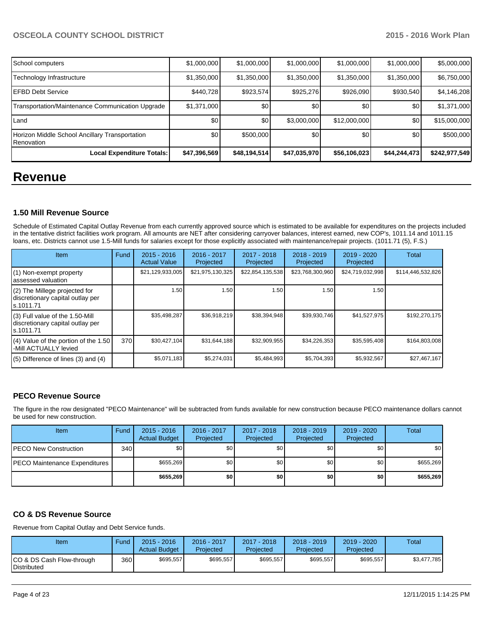| School computers                                             | \$1,000,000  | \$1,000,000      | \$1,000,000  | \$1,000,000  | \$1,000,000      | \$5,000,000   |
|--------------------------------------------------------------|--------------|------------------|--------------|--------------|------------------|---------------|
| Technology Infrastructure                                    | \$1,350,000  | \$1,350,000      | \$1,350,000  | \$1,350,000  | \$1,350,000      | \$6,750,000   |
| <b>EFBD Debt Service</b>                                     | \$440.728    | \$923,574        | \$925,276    | \$926,090    | \$930,540        | \$4,146,208   |
| Transportation/Maintenance Communication Upgrade             | \$1,371,000  | \$0 <sub>0</sub> | \$0          | \$0          | \$0              | \$1,371,000   |
| Land                                                         | \$0          | \$0              | \$3,000,000  | \$12,000,000 | \$0 <sub>1</sub> | \$15,000,000  |
| Horizon Middle School Ancillary Transportation<br>Renovation | \$0          | \$500,000        | \$0          | \$0          | \$0              | \$500,000     |
| Local Expenditure Totals:                                    | \$47,396,569 | \$48,194,514     | \$47,035,970 | \$56,106,023 | \$44,244,473     | \$242,977,549 |

# **Revenue**

## **1.50 Mill Revenue Source**

Schedule of Estimated Capital Outlay Revenue from each currently approved source which is estimated to be available for expenditures on the projects included in the tentative district facilities work program. All amounts are NET after considering carryover balances, interest earned, new COP's, 1011.14 and 1011.15 loans, etc. Districts cannot use 1.5-Mill funds for salaries except for those explicitly associated with maintenance/repair projects. (1011.71 (5), F.S.)

| Item                                                                              | Fund | $2015 - 2016$<br><b>Actual Value</b> | $2016 - 2017$<br>Projected | $2017 - 2018$<br>Projected | $2018 - 2019$<br>Projected | $2019 - 2020$<br>Projected | Total             |
|-----------------------------------------------------------------------------------|------|--------------------------------------|----------------------------|----------------------------|----------------------------|----------------------------|-------------------|
| (1) Non-exempt property<br>assessed valuation                                     |      | \$21,129,933,005                     | \$21,975,130,325           | \$22,854,135,538           | \$23,768,300,960           | \$24,719,032,998           | \$114,446,532,826 |
| (2) The Millege projected for<br>discretionary capital outlay per<br>ls.1011.71   |      | 1.50                                 | 1.50 <b>I</b>              | 1.50                       | 1.50                       | 1.50                       |                   |
| (3) Full value of the 1.50-Mill<br>discretionary capital outlay per<br>ls.1011.71 |      | \$35,498,287                         | \$36,918,219               | \$38,394,948               | \$39,930,746               | \$41,527,975               | \$192,270,175     |
| (4) Value of the portion of the 1.50<br>-Mill ACTUALLY levied                     | 370  | \$30,427,104                         | \$31,644,188               | \$32,909,955               | \$34,226,353               | \$35,595,408               | \$164,803,008     |
| $(5)$ Difference of lines (3) and (4)                                             |      | \$5,071,183                          | \$5,274,031                | \$5,484,993                | \$5,704,393                | \$5,932,567                | \$27,467,167      |

## **PECO Revenue Source**

The figure in the row designated "PECO Maintenance" will be subtracted from funds available for new construction because PECO maintenance dollars cannot be used for new construction.

| Item                                 | Fund | $2015 - 2016$<br><b>Actual Budget</b> | 2016 - 2017<br>Projected | $2017 - 2018$<br>Projected | $2018 - 2019$<br>Projected | $2019 - 2020$<br>Projected | Total     |
|--------------------------------------|------|---------------------------------------|--------------------------|----------------------------|----------------------------|----------------------------|-----------|
| <b>PECO New Construction</b>         | 340  | \$0                                   | \$0                      | \$0                        | \$0 I                      | \$0                        | \$0       |
| <b>PECO Maintenance Expenditures</b> |      | \$655,269                             | \$0                      | \$0                        | \$0 <sub>1</sub>           | \$0                        | \$655,269 |
|                                      |      | \$655,269                             | \$0                      | \$0                        | \$0                        | \$0                        | \$655,269 |

## **CO & DS Revenue Source**

Revenue from Capital Outlay and Debt Service funds.

| Item                                               | Fund | $2015 - 2016$<br><b>Actual Budget</b> | 2016 - 2017<br>Projected | $2017 - 2018$<br>Projected | $2018 - 2019$<br>Projected | $2019 - 2020$<br>Projected | Total       |
|----------------------------------------------------|------|---------------------------------------|--------------------------|----------------------------|----------------------------|----------------------------|-------------|
| ICO & DS Cash Flow-through<br><b>I</b> Distributed | 360  | \$695.557                             | \$695.557                | \$695,557                  | \$695.557                  | \$695,557                  | \$3.477.785 |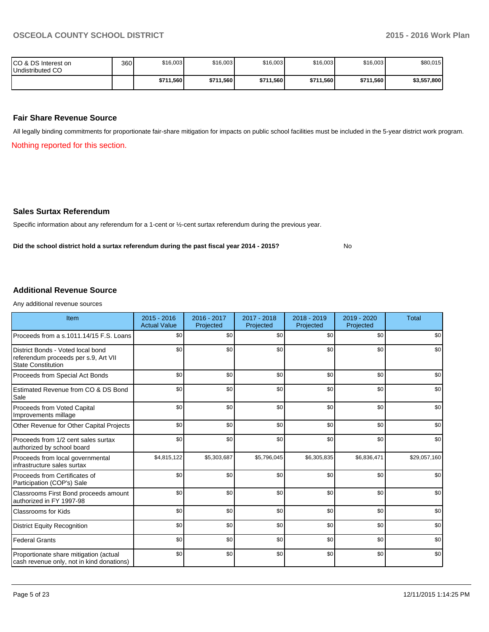No

| ICO & DS Interest on<br>Undistributed CO | 360 | \$16,003  | \$16,003  | \$16,003  | \$16,003  | \$16,003  | \$80,015    |
|------------------------------------------|-----|-----------|-----------|-----------|-----------|-----------|-------------|
|                                          |     | \$711,560 | \$711,560 | \$711,560 | \$711,560 | \$711.560 | \$3,557,800 |

#### **Fair Share Revenue Source**

All legally binding commitments for proportionate fair-share mitigation for impacts on public school facilities must be included in the 5-year district work program.

Nothing reported for this section.

#### **Sales Surtax Referendum**

Specific information about any referendum for a 1-cent or ½-cent surtax referendum during the previous year.

**Did the school district hold a surtax referendum during the past fiscal year 2014 - 2015?**

### **Additional Revenue Source**

Any additional revenue sources

| Item                                                                                                   | $2015 - 2016$<br><b>Actual Value</b> | 2016 - 2017<br>Projected | 2017 - 2018<br>Projected | $2018 - 2019$<br>Projected | $2019 - 2020$<br>Projected | <b>Total</b> |
|--------------------------------------------------------------------------------------------------------|--------------------------------------|--------------------------|--------------------------|----------------------------|----------------------------|--------------|
| Proceeds from a s.1011.14/15 F.S. Loans                                                                | \$0                                  | \$0                      | \$0                      | \$0                        | \$0                        | \$0          |
| District Bonds - Voted local bond<br>referendum proceeds per s.9, Art VII<br><b>State Constitution</b> | \$0                                  | \$0                      | \$0                      | \$0                        | \$0                        | \$0          |
| Proceeds from Special Act Bonds                                                                        | \$0                                  | \$0                      | \$0                      | \$0                        | \$0                        | \$0          |
| Estimated Revenue from CO & DS Bond<br>Sale                                                            | \$0                                  | \$0                      | \$0                      | \$0                        | \$0                        | \$0          |
| Proceeds from Voted Capital<br>Improvements millage                                                    | \$0                                  | \$0                      | \$0                      | \$0                        | \$0                        | \$0          |
| Other Revenue for Other Capital Projects                                                               | \$0                                  | \$0                      | \$0                      | \$0                        | \$0                        | \$0          |
| Proceeds from 1/2 cent sales surtax<br>authorized by school board                                      | \$0                                  | \$0                      | \$0                      | \$0                        | \$0                        | \$0          |
| Proceeds from local governmental<br>infrastructure sales surtax                                        | \$4,815,122                          | \$5,303,687              | \$5,796,045              | \$6,305,835                | \$6,836,471                | \$29,057,160 |
| Proceeds from Certificates of<br>Participation (COP's) Sale                                            | \$0                                  | \$0                      | \$0                      | \$0                        | \$0                        | \$0          |
| Classrooms First Bond proceeds amount<br>authorized in FY 1997-98                                      | \$0                                  | \$0                      | \$0                      | \$0                        | \$0                        | \$0          |
| <b>Classrooms for Kids</b>                                                                             | \$0                                  | \$0                      | \$0                      | \$0                        | \$0                        | \$0          |
| <b>District Equity Recognition</b>                                                                     | \$0                                  | \$0                      | \$0                      | \$0                        | \$0                        | \$0          |
| <b>Federal Grants</b>                                                                                  | \$0                                  | \$0                      | \$0                      | \$0                        | \$0                        | \$0          |
| Proportionate share mitigation (actual<br>cash revenue only, not in kind donations)                    | \$0                                  | \$0                      | \$0                      | \$0                        | \$0                        | \$0          |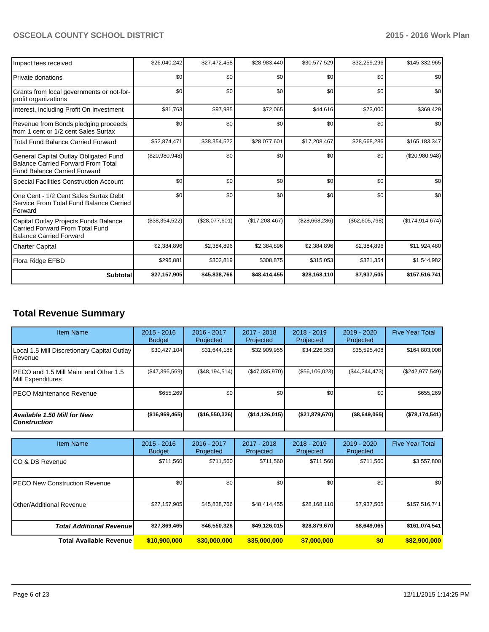| Impact fees received                                                                                                      | \$26.040.242   | \$27,472,458   | \$28,983,440   | \$30,577,529   | \$32,259,296   | \$145,332,965     |
|---------------------------------------------------------------------------------------------------------------------------|----------------|----------------|----------------|----------------|----------------|-------------------|
| <b>Private donations</b>                                                                                                  | \$0            | \$0            | \$0            | \$0            | \$0            | \$0               |
| Grants from local governments or not-for-<br>profit organizations                                                         | \$0            | \$0            | \$0            | \$0            | \$0            | \$0               |
| Interest, Including Profit On Investment                                                                                  | \$81,763       | \$97,985       | \$72,065       | \$44,616       | \$73,000       | \$369,429         |
| Revenue from Bonds pledging proceeds<br>from 1 cent or 1/2 cent Sales Surtax                                              | \$0            | \$0            | \$0            | \$0            | \$0            | \$0               |
| Total Fund Balance Carried Forward                                                                                        | \$52,874,471   | \$38,354,522   | \$28,077,601   | \$17,208,467   | \$28,668,286   | \$165,183,347     |
| General Capital Outlay Obligated Fund<br><b>Balance Carried Forward From Total</b><br><b>Fund Balance Carried Forward</b> | (\$20,980,948) | \$0            | \$0            | \$0            | \$0            | (\$20,980,948)    |
| Special Facilities Construction Account                                                                                   | \$0            | \$0            | \$0            | \$0            | \$0            | \$0               |
| One Cent - 1/2 Cent Sales Surtax Debt<br>Service From Total Fund Balance Carried<br>Forward                               | \$0            | \$0            | \$0            | \$0            | \$0            | \$0               |
| Capital Outlay Projects Funds Balance<br>Carried Forward From Total Fund<br><b>Balance Carried Forward</b>                | (\$38,354,522) | (\$28,077,601) | (\$17,208,467) | (\$28,668,286) | (\$62,605,798) | (\$174, 914, 674) |
| <b>Charter Capital</b>                                                                                                    | \$2,384,896    | \$2,384,896    | \$2,384,896    | \$2,384,896    | \$2,384,896    | \$11,924,480      |
| Flora Ridge EFBD                                                                                                          | \$296,881      | \$302,819      | \$308,875      | \$315,053      | \$321,354      | \$1,544,982       |
| <b>Subtotal</b>                                                                                                           | \$27,157,905   | \$45,838,766   | \$48,414,455   | \$28,168,110   | \$7,937,505    | \$157,516,741     |

# **Total Revenue Summary**

| <b>Item Name</b>                                           | $2015 - 2016$<br><b>Budget</b> | $2016 - 2017$<br>Projected | $2017 - 2018$<br>Projected | $2018 - 2019$<br>Projected | $2019 - 2020$<br>Projected | <b>Five Year Total</b> |
|------------------------------------------------------------|--------------------------------|----------------------------|----------------------------|----------------------------|----------------------------|------------------------|
| Local 1.5 Mill Discretionary Capital Outlay<br>l Revenue   | \$30,427,104                   | \$31,644,188               | \$32,909,955               | \$34,226,353               | \$35,595,408               | \$164,803,008          |
| PECO and 1.5 Mill Maint and Other 1.5<br>Mill Expenditures | (\$47,396,569)                 | (S48, 194, 514)            | (\$47,035,970)             | (S56, 106, 023)            | (S44, 244, 473)            | $(\$242,977,549)$      |
| IPECO Maintenance Revenue                                  | \$655.269                      | \$0                        | \$0                        | \$0                        | \$0                        | \$655,269              |
| <b>Available 1.50 Mill for New</b><br><b>Construction</b>  | (\$16,969,465)                 | (\$16,550,326)             | ( \$14, 126, 015)          | (\$21,879,670)             | $($ \$8,649,065)           | (\$78,174,541)         |

| <b>Item Name</b>                      | $2015 - 2016$<br><b>Budget</b> | $2016 - 2017$<br>Projected | $2017 - 2018$<br>Projected | $2018 - 2019$<br>Projected | 2019 - 2020<br>Projected | <b>Five Year Total</b> |
|---------------------------------------|--------------------------------|----------------------------|----------------------------|----------------------------|--------------------------|------------------------|
| ICO & DS Revenue                      | \$711,560                      | \$711,560                  | \$711,560                  | \$711,560                  | \$711,560                | \$3,557,800            |
| <b>IPECO New Construction Revenue</b> | \$0                            | \$0                        | \$0                        | \$0                        | \$0                      | \$0                    |
| IOther/Additional Revenue             | \$27,157,905                   | \$45,838,766               | \$48,414,455               | \$28,168,110               | \$7,937,505              | \$157,516,741          |
| <b>Total Additional Revenuel</b>      | \$27,869,465                   | \$46,550,326               | \$49,126,015               | \$28,879,670               | \$8,649,065              | \$161,074,541          |
| <b>Total Available Revenue</b>        | \$10,900,000                   | \$30,000,000               | \$35,000,000               | \$7,000,000                | \$0                      | \$82,900,000           |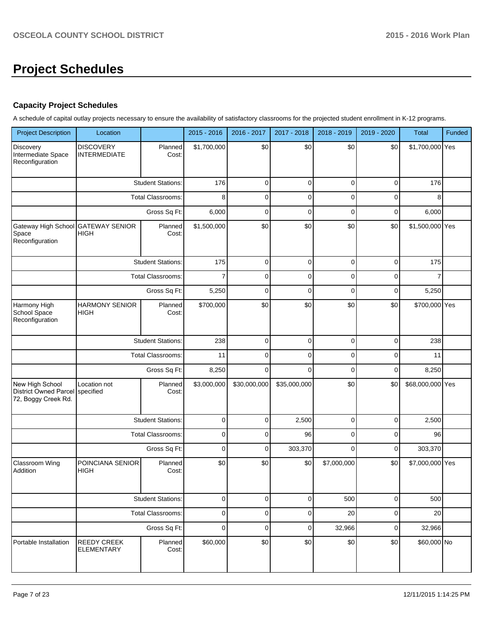# **Project Schedules**

## **Capacity Project Schedules**

A schedule of capital outlay projects necessary to ensure the availability of satisfactory classrooms for the projected student enrollment in K-12 programs.

| <b>Project Description</b>                                             | Location                                |                          | $2015 - 2016$ | 2016 - 2017  | 2017 - 2018  | 2018 - 2019 | 2019 - 2020 | <b>Total</b>     | Funded |
|------------------------------------------------------------------------|-----------------------------------------|--------------------------|---------------|--------------|--------------|-------------|-------------|------------------|--------|
| Discovery<br>Intermediate Space<br>Reconfiguration                     | <b>DISCOVERY</b><br><b>INTERMEDIATE</b> | Planned<br>Cost:         | \$1,700,000   | \$0          | \$0          | \$0         | \$0         | \$1,700,000 Yes  |        |
|                                                                        |                                         | <b>Student Stations:</b> | 176           | $\mathbf 0$  | $\mathbf 0$  | $\mathbf 0$ | $\mathbf 0$ | 176              |        |
|                                                                        |                                         | <b>Total Classrooms:</b> | 8             | 0            | $\mathbf 0$  | $\mathbf 0$ | $\mathbf 0$ | 8                |        |
|                                                                        |                                         | Gross Sq Ft:             | 6,000         | $\mathbf 0$  | $\mathbf 0$  | $\mathbf 0$ | $\mathbf 0$ | 6,000            |        |
| Gateway High School GATEWAY SENIOR<br>Space<br>Reconfiguration         | <b>HIGH</b>                             | Planned<br>Cost:         | \$1,500,000   | \$0          | \$0          | \$0         | \$0         | \$1,500,000 Yes  |        |
|                                                                        |                                         | <b>Student Stations:</b> | 175           | $\mathbf 0$  | $\mathbf 0$  | $\mathbf 0$ | $\mathbf 0$ | 175              |        |
|                                                                        |                                         | <b>Total Classrooms:</b> | 7             | 0            | $\mathbf 0$  | 0           | $\mathbf 0$ |                  |        |
|                                                                        |                                         | Gross Sq Ft:             | 5,250         | 0            | $\mathbf 0$  | $\mathbf 0$ | 0           | 5,250            |        |
| Harmony High<br>School Space<br>Reconfiguration                        | <b>HARMONY SENIOR</b><br><b>HIGH</b>    | Planned<br>Cost:         | \$700,000     | \$0          | \$0          | \$0         | \$0         | \$700,000 Yes    |        |
|                                                                        |                                         | <b>Student Stations:</b> | 238           | $\mathbf 0$  | $\mathbf 0$  | $\mathbf 0$ | $\mathbf 0$ | 238              |        |
|                                                                        |                                         | Total Classrooms:        | 11            | 0            | $\mathbf 0$  | $\mathbf 0$ | $\mathbf 0$ | 11               |        |
|                                                                        |                                         | Gross Sq Ft:             | 8,250         | $\mathbf 0$  | $\Omega$     | $\mathbf 0$ | $\mathbf 0$ | 8,250            |        |
| New High School<br><b>District Owned Parcel</b><br>72, Boggy Creek Rd. | Location not<br>specified               | Planned<br>Cost:         | \$3,000,000   | \$30,000,000 | \$35,000,000 | \$0         | \$0         | \$68,000,000 Yes |        |
|                                                                        |                                         | <b>Student Stations:</b> | 0             | 0            | 2,500        | $\mathbf 0$ | $\mathbf 0$ | 2,500            |        |
|                                                                        |                                         | <b>Total Classrooms:</b> | 0             | 0            | 96           | 0           | $\mathbf 0$ | 96               |        |
|                                                                        |                                         | Gross Sq Ft:             | $\mathbf 0$   | $\mathbf 0$  | 303,370      | $\mathbf 0$ | $\mathbf 0$ | 303,370          |        |
| Classroom Wing<br>Addition                                             | POINCIANA SENIOR<br><b>HIGH</b>         | Planned<br>Cost:         | \$0           | \$0          | \$0          | \$7,000,000 | \$0         | \$7,000,000 Yes  |        |
|                                                                        |                                         | <b>Student Stations:</b> | 0             | 0            | $\mathbf 0$  | 500         | 0           | 500              |        |
|                                                                        |                                         | Total Classrooms:        | 0             | $\mathbf 0$  | $\mathbf 0$  | 20          | $\mathbf 0$ | 20               |        |
|                                                                        |                                         | Gross Sq Ft:             | 0             | $\mathbf 0$  | $\mathbf 0$  | 32,966      | $\mathbf 0$ | 32,966           |        |
| Portable Installation                                                  | <b>REEDY CREEK</b><br><b>ELEMENTARY</b> | Planned<br>Cost:         | \$60,000      | \$0          | \$0          | \$0         | \$0         | \$60,000 No      |        |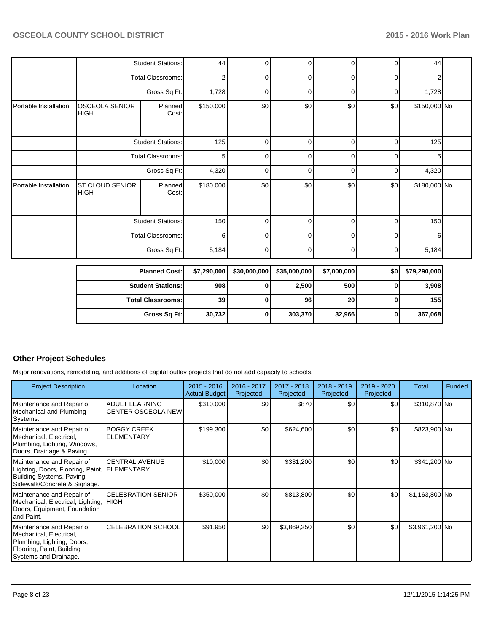|                       |                                      | <b>Student Stations:</b> | 44             | $\Omega$       | $\overline{0}$ | $\overline{0}$ | 0        | 44           |  |
|-----------------------|--------------------------------------|--------------------------|----------------|----------------|----------------|----------------|----------|--------------|--|
|                       |                                      | <b>Total Classrooms:</b> | $\overline{2}$ | $\Omega$       | $\overline{0}$ | 0              | $\Omega$ | 2            |  |
|                       |                                      | Gross Sq Ft:             | 1,728          | 0              | $\Omega$       | $\Omega$       | 0        | 1,728        |  |
| Portable Installation | <b>OSCEOLA SENIOR</b><br><b>HIGH</b> | Planned<br>Cost:         | \$150,000      | \$0            | \$0            | \$0            | \$0      | \$150,000 No |  |
|                       |                                      | <b>Student Stations:</b> | 125            | $\Omega$       | $\Omega$       | 0              | $\Omega$ | 125          |  |
|                       |                                      | Total Classrooms:        | 5              | $\Omega$       | $\overline{0}$ | $\Omega$       | $\Omega$ | 5            |  |
|                       |                                      | Gross Sq Ft:             | 4,320          | 0              | $\overline{0}$ | $\overline{0}$ | 0        | 4,320        |  |
| Portable Installation | ST CLOUD SENIOR<br><b>HIGH</b>       | Planned<br>Cost:         | \$180,000      | \$0            | \$0            | \$0            | \$0      | \$180,000 No |  |
|                       |                                      | <b>Student Stations:</b> | 150            | $\overline{0}$ | $\Omega$       | $\overline{0}$ | 0        | 150          |  |
|                       |                                      | <b>Total Classrooms:</b> | 6              | $\Omega$       | 0              | 0              | $\Omega$ | 6            |  |
|                       |                                      | Gross Sq Ft:             | 5,184          | $\Omega$       | $\overline{0}$ | $\Omega$       | $\Omega$ | 5,184        |  |

| <b>Planned Cost:</b>     | \$7,290,000 | \$30,000,000 | \$35,000,000 | \$7,000,000 | \$0 | \$79,290,000 |
|--------------------------|-------------|--------------|--------------|-------------|-----|--------------|
| <b>Student Stations:</b> | 908         |              | 2,500        | 500         |     | 3,908        |
| <b>Total Classrooms:</b> | 39          |              | 96           | <b>20</b>   |     | 155          |
| Gross Sq Ft:             | 30.732      |              | 303,370      | 32,966      |     | 367,068      |

# **Other Project Schedules**

Major renovations, remodeling, and additions of capital outlay projects that do not add capacity to schools.

| <b>Project Description</b>                                                                                                               | Location                                           | $2015 - 2016$<br><b>Actual Budget</b> | 2016 - 2017<br>Projected | $2017 - 2018$<br>Projected | $2018 - 2019$<br>Projected | 2019 - 2020<br>Projected | Total           | Funded |
|------------------------------------------------------------------------------------------------------------------------------------------|----------------------------------------------------|---------------------------------------|--------------------------|----------------------------|----------------------------|--------------------------|-----------------|--------|
| Maintenance and Repair of<br>Mechanical and Plumbing<br>Systems.                                                                         | <b>ADULT LEARNING</b><br><b>CENTER OSCEOLA NEW</b> | \$310,000                             | \$0                      | \$870                      | \$0                        | \$0                      | \$310,870 No    |        |
| Maintenance and Repair of<br>Mechanical, Electrical,<br>Plumbing, Lighting, Windows,<br>Doors, Drainage & Paving.                        | <b>BOGGY CREEK</b><br>IELEMENTARY                  | \$199,300                             | \$0                      | \$624,600                  | \$0                        | \$0                      | \$823,900 No    |        |
| Maintenance and Repair of<br>Lighting, Doors, Flooring, Paint, ELEMENTARY<br>Building Systems, Paving,<br>Sidewalk/Concrete & Signage.   | <b>CENTRAL AVENUE</b>                              | \$10,000                              | \$0                      | \$331,200                  | \$0                        | \$0                      | \$341,200 No    |        |
| Maintenance and Repair of<br>Mechanical, Electrical, Lighting, HIGH<br>Doors, Equipment, Foundation<br>land Paint.                       | <b>ICELEBRATION SENIOR</b>                         | \$350,000                             | \$0                      | \$813,800                  | \$0                        | \$0                      | $$1,163,800$ No |        |
| Maintenance and Repair of<br>Mechanical, Electrical,<br>Plumbing, Lighting, Doors,<br>Flooring, Paint, Building<br>Systems and Drainage. | <b>CELEBRATION SCHOOL</b>                          | \$91,950                              | \$0                      | \$3,869,250                | \$0                        | \$0                      | \$3,961,200 No  |        |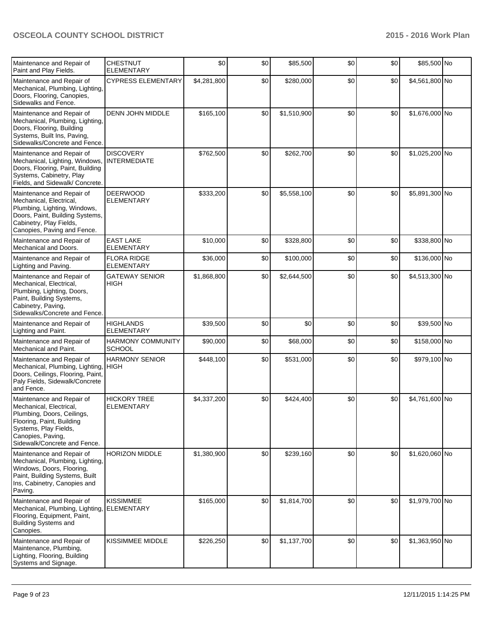| Maintenance and Repair of<br>Paint and Play Fields.                                                                                                                                           | <b>CHESTNUT</b><br><b>ELEMENTARY</b>      | \$0         | \$0 | \$85,500    | \$0 | \$0 | \$85,500 No    |  |
|-----------------------------------------------------------------------------------------------------------------------------------------------------------------------------------------------|-------------------------------------------|-------------|-----|-------------|-----|-----|----------------|--|
| Maintenance and Repair of<br>Mechanical, Plumbing, Lighting,<br>Doors, Flooring, Canopies,<br>Sidewalks and Fence.                                                                            | <b>CYPRESS ELEMENTARY</b>                 | \$4,281,800 | \$0 | \$280,000   | \$0 | \$0 | \$4,561,800 No |  |
| Maintenance and Repair of<br>Mechanical, Plumbing, Lighting,<br>Doors, Flooring, Building<br>Systems, Built Ins, Paving,<br>Sidewalks/Concrete and Fence.                                     | <b>DENN JOHN MIDDLE</b>                   | \$165,100   | \$0 | \$1,510,900 | \$0 | \$0 | \$1,676,000 No |  |
| Maintenance and Repair of<br>Mechanical, Lighting, Windows,<br>Doors, Flooring, Paint, Building<br>Systems, Cabinetry, Play<br>Fields, and Sidewalk/ Concrete.                                | <b>DISCOVERY</b><br><b>INTERMEDIATE</b>   | \$762,500   | \$0 | \$262,700   | \$0 | \$0 | \$1,025,200 No |  |
| Maintenance and Repair of<br>Mechanical, Electrical,<br>Plumbing, Lighting, Windows,<br>Doors, Paint, Building Systems,<br>Cabinetry, Play Fields,<br>Canopies, Paving and Fence.             | <b>DEERWOOD</b><br><b>ELEMENTARY</b>      | \$333,200   | \$0 | \$5,558,100 | \$0 | \$0 | \$5,891,300 No |  |
| Maintenance and Repair of<br>Mechanical and Doors.                                                                                                                                            | <b>EAST LAKE</b><br><b>ELEMENTARY</b>     | \$10,000    | \$0 | \$328,800   | \$0 | \$0 | \$338,800 No   |  |
| Maintenance and Repair of<br>Lighting and Paving.                                                                                                                                             | <b>FLORA RIDGE</b><br><b>ELEMENTARY</b>   | \$36,000    | \$0 | \$100,000   | \$0 | \$0 | \$136,000 No   |  |
| Maintenance and Repair of<br>Mechanical, Electrical,<br>Plumbing, Lighting, Doors,<br>Paint, Building Systems,<br>Cabinetry, Paving,<br>Sidewalks/Concrete and Fence.                         | <b>GATEWAY SENIOR</b><br><b>HIGH</b>      | \$1,868,800 | \$0 | \$2,644,500 | \$0 | \$0 | \$4,513,300 No |  |
| Maintenance and Repair of<br>Lighting and Paint.                                                                                                                                              | <b>HIGHLANDS</b><br><b>ELEMENTARY</b>     | \$39,500    | \$0 | \$0         | \$0 | \$0 | \$39,500 No    |  |
| Maintenance and Repair of<br>Mechanical and Paint.                                                                                                                                            | <b>HARMONY COMMUNITY</b><br><b>SCHOOL</b> | \$90,000    | \$0 | \$68,000    | \$0 | \$0 | \$158,000 No   |  |
| Maintenance and Repair of<br>Mechanical, Plumbing, Lighting,<br>Doors, Ceilings, Flooring, Paint,<br>Paly Fields, Sidewalk/Concrete<br>and Fence.                                             | <b>HARMONY SENIOR</b><br><b>HIGH</b>      | \$448,100   | \$0 | \$531,000   | \$0 | \$0 | \$979,100 No   |  |
| Maintenance and Repair of<br>Mechanical, Electrical,<br>Plumbing, Doors, Ceilings,<br>Flooring, Paint, Building<br>Systems, Play Fields,<br>Canopies, Paving,<br>Sidewalk/Concrete and Fence. | <b>HICKORY TREE</b><br><b>ELEMENTARY</b>  | \$4,337,200 | \$0 | \$424,400   | \$0 | \$0 | \$4,761,600 No |  |
| Maintenance and Repair of<br>Mechanical, Plumbing, Lighting,<br>Windows, Doors, Flooring,<br>Paint, Building Systems, Built<br>Ins, Cabinetry, Canopies and<br>Paving.                        | <b>HORIZON MIDDLE</b>                     | \$1,380,900 | \$0 | \$239,160   | \$0 | \$0 | \$1,620,060 No |  |
| Maintenance and Repair of<br>Mechanical, Plumbing, Lighting,<br>Flooring, Equipment, Paint,<br><b>Building Systems and</b><br>Canopies.                                                       | <b>KISSIMMEE</b><br><b>ELEMENTARY</b>     | \$165,000   | \$0 | \$1,814,700 | \$0 | \$0 | \$1,979,700 No |  |
| Maintenance and Repair of<br>Maintenance, Plumbing,<br>Lighting, Flooring, Building<br>Systems and Signage.                                                                                   | KISSIMMEE MIDDLE                          | \$226,250   | \$0 | \$1,137,700 | \$0 | \$0 | \$1,363,950 No |  |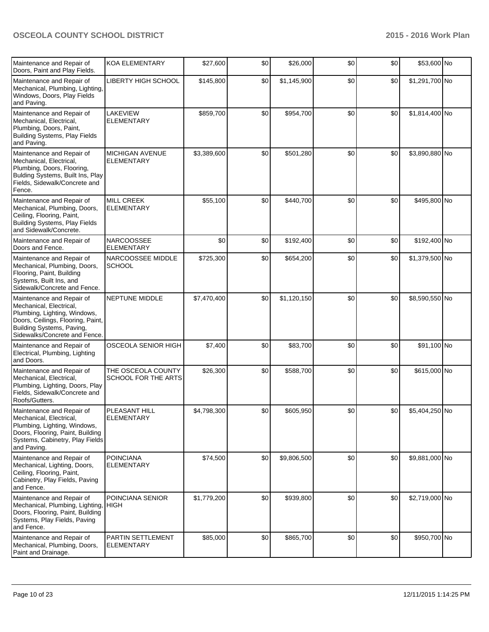| Maintenance and Repair of<br>Doors, Paint and Play Fields.                                                                                                                              | <b>KOA ELEMENTARY</b>                            | \$27,600    | \$0 | \$26,000    | \$0 | \$0 | \$53,600 No    |  |
|-----------------------------------------------------------------------------------------------------------------------------------------------------------------------------------------|--------------------------------------------------|-------------|-----|-------------|-----|-----|----------------|--|
| Maintenance and Repair of<br>Mechanical, Plumbing, Lighting,<br>Windows, Doors, Play Fields<br>and Paving.                                                                              | LIBERTY HIGH SCHOOL                              | \$145,800   | \$0 | \$1,145,900 | \$0 | \$0 | \$1,291,700 No |  |
| Maintenance and Repair of<br>Mechanical, Electrical,<br>Plumbing, Doors, Paint,<br>Building Systems, Play Fields<br>and Paving.                                                         | LAKEVIEW<br><b>ELEMENTARY</b>                    | \$859,700   | \$0 | \$954,700   | \$0 | \$0 | \$1,814,400 No |  |
| Maintenance and Repair of<br>Mechanical, Electrical,<br>Plumbing, Doors, Flooring,<br>Bulding Systems, Built Ins, Play<br>Fields, Sidewalk/Concrete and<br>Fence.                       | MICHIGAN AVENUE<br><b>ELEMENTARY</b>             | \$3,389,600 | \$0 | \$501,280   | \$0 | \$0 | \$3,890,880 No |  |
| Maintenance and Repair of<br>Mechanical, Plumbing, Doors,<br>Ceiling, Flooring, Paint,<br>Building Systems, Play Fields<br>and Sidewalk/Concrete.                                       | <b>MILL CREEK</b><br><b>ELEMENTARY</b>           | \$55,100    | \$0 | \$440,700   | \$0 | \$0 | \$495,800 No   |  |
| Maintenance and Repair of<br>Doors and Fence.                                                                                                                                           | <b>NARCOOSSEE</b><br><b>ELEMENTARY</b>           | \$0         | \$0 | \$192,400   | \$0 | \$0 | \$192,400 No   |  |
| Maintenance and Repair of<br>Mechanical, Plumbing, Doors,<br>Flooring, Paint, Building<br>Systems, Built Ins, and<br>Sidewalk/Concrete and Fence.                                       | NARCOOSSEE MIDDLE<br><b>SCHOOL</b>               | \$725,300   | \$0 | \$654,200   | \$0 | \$0 | \$1,379,500 No |  |
| Maintenance and Repair of<br>Mechanical, Electrical,<br>Plumbing, Lighting, Windows,<br>Doors, Ceilings, Flooring, Paint,<br>Building Systems, Paving,<br>Sidewalks/Concrete and Fence. | NEPTUNE MIDDLE                                   | \$7,470,400 | \$0 | \$1,120,150 | \$0 | \$0 | \$8,590,550 No |  |
| Maintenance and Repair of<br>Electrical, Plumbing, Lighting<br>and Doors.                                                                                                               | OSCEOLA SENIOR HIGH                              | \$7,400     | \$0 | \$83,700    | \$0 | \$0 | \$91,100 No    |  |
| Maintenance and Repair of<br>Mechanical, Electrical,<br>Plumbing, Lighting, Doors, Play<br>Fields, Sidewalk/Concrete and<br>Roofs/Gutters.                                              | THE OSCEOLA COUNTY<br><b>SCHOOL FOR THE ARTS</b> | \$26,300    | \$0 | \$588,700   | \$0 | \$0 | \$615,000 No   |  |
| Maintenance and Repair of<br>Mechanical, Electrical,<br>Plumbing, Lighting, Windows,<br>Doors, Flooring, Paint, Building<br>Systems, Cabinetry, Play Fields<br>and Paving.              | PLEASANT HILL<br><b>ELEMENTARY</b>               | \$4,798,300 | \$0 | \$605,950   | \$0 | \$0 | \$5,404,250 No |  |
| Maintenance and Repair of<br>Mechanical, Lighting, Doors,<br>Ceiling, Flooring, Paint,<br>Cabinetry, Play Fields, Paving<br>and Fence.                                                  | <b>POINCIANA</b><br><b>ELEMENTARY</b>            | \$74,500    | \$0 | \$9,806,500 | \$0 | \$0 | \$9,881,000 No |  |
| Maintenance and Repair of<br>Mechanical, Plumbing, Lighting,<br>Doors, Flooring, Paint, Building<br>Systems, Play Fields, Paving<br>and Fence.                                          | POINCIANA SENIOR<br>HIGH                         | \$1,779,200 | \$0 | \$939,800   | \$0 | \$0 | \$2,719,000 No |  |
| Maintenance and Repair of<br>Mechanical, Plumbing, Doors,<br>Paint and Drainage.                                                                                                        | PARTIN SETTLEMENT<br><b>ELEMENTARY</b>           | \$85,000    | \$0 | \$865,700   | \$0 | \$0 | \$950,700 No   |  |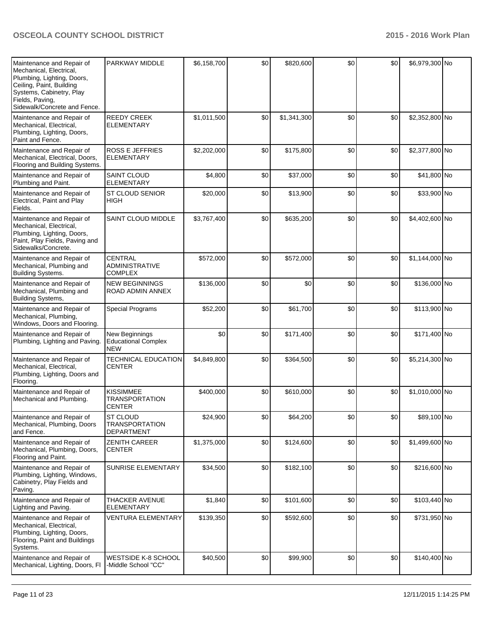| Maintenance and Repair of<br>Mechanical, Electrical,<br>Plumbing, Lighting, Doors,<br>Ceiling, Paint, Building<br>Systems, Cabinetry, Play<br>Fields, Paving,<br>Sidewalk/Concrete and Fence. | PARKWAY MIDDLE                                             | \$6,158,700 | \$0 | \$820,600   | \$0 | \$0   | \$6,979,300 No |  |
|-----------------------------------------------------------------------------------------------------------------------------------------------------------------------------------------------|------------------------------------------------------------|-------------|-----|-------------|-----|-------|----------------|--|
| Maintenance and Repair of<br>Mechanical, Electrical,<br>Plumbing, Lighting, Doors,<br>Paint and Fence.                                                                                        | <b>REEDY CREEK</b><br><b>ELEMENTARY</b>                    | \$1,011,500 | \$0 | \$1,341,300 | \$0 | \$0   | \$2,352,800 No |  |
| Maintenance and Repair of<br>Mechanical, Electrical, Doors,<br>Flooring and Building Systems.                                                                                                 | <b>ROSS E JEFFRIES</b><br><b>ELEMENTARY</b>                | \$2,202,000 | \$0 | \$175,800   | \$0 | \$0   | \$2,377,800 No |  |
| Maintenance and Repair of<br>Plumbing and Paint.                                                                                                                                              | <b>SAINT CLOUD</b><br><b>ELEMENTARY</b>                    | \$4,800     | \$0 | \$37,000    | \$0 | \$0   | \$41,800 No    |  |
| Maintenance and Repair of<br>Electrical, Paint and Play<br>Fields.                                                                                                                            | <b>ST CLOUD SENIOR</b><br><b>HIGH</b>                      | \$20,000    | \$0 | \$13,900    | \$0 | \$0   | \$33,900 No    |  |
| Maintenance and Repair of<br>Mechanical, Electrical,<br>Plumbing, Lighting, Doors,<br>Paint, Play Fields, Paving and<br>Sidewalks/Concrete.                                                   | <b>SAINT CLOUD MIDDLE</b>                                  | \$3,767,400 | \$0 | \$635,200   | \$0 | \$0   | \$4,402,600 No |  |
| Maintenance and Repair of<br>Mechanical, Plumbing and<br><b>Building Systems.</b>                                                                                                             | <b>CENTRAL</b><br><b>ADMINISTRATIVE</b><br><b>COMPLEX</b>  | \$572,000   | \$0 | \$572,000   | \$0 | \$0   | \$1,144,000 No |  |
| Maintenance and Repair of<br>Mechanical, Plumbing and<br>Building Systems,                                                                                                                    | <b>NEW BEGINNINGS</b><br>ROAD ADMIN ANNEX                  | \$136,000   | \$0 | \$0         | \$0 | \$0   | \$136,000 No   |  |
| Maintenance and Repair of<br>Mechanical, Plumbing,<br>Windows, Doors and Flooring.                                                                                                            | <b>Special Programs</b>                                    | \$52,200    | \$0 | \$61,700    | \$0 | \$0   | \$113,900 No   |  |
| Maintenance and Repair of<br>Plumbing, Lighting and Paving.                                                                                                                                   | New Beginnings<br><b>Educational Complex</b><br><b>NEW</b> | \$0         | \$0 | \$171,400   | \$0 | \$0   | \$171,400 No   |  |
| Maintenance and Repair of<br>Mechanical, Electrical,<br>Plumbing, Lighting, Doors and<br>Flooring.                                                                                            | <b>TECHNICAL EDUCATION</b><br><b>CENTER</b>                | \$4,849,800 | \$0 | \$364,500   | \$0 | \$0   | \$5,214,300 No |  |
| Maintenance and Repair of<br>Mechanical and Plumbing.                                                                                                                                         | <b>KISSIMMEE</b><br><b>TRANSPORTATION</b><br><b>CENTER</b> | \$400,000   | \$0 | \$610,000   | \$0 | \$0   | \$1,010,000 No |  |
| Maintenance and Repair of<br>Mechanical, Plumbing, Doors<br>and Fence.                                                                                                                        | ST CLOUD<br><b>TRANSPORTATION</b><br><b>DEPARTMENT</b>     | \$24,900    | \$0 | \$64,200    | \$0 | $$0$$ | \$89,100 No    |  |
| Maintenance and Repair of<br>Mechanical, Plumbing, Doors,<br>Flooring and Paint.                                                                                                              | <b>ZENITH CAREER</b><br><b>CENTER</b>                      | \$1,375,000 | \$0 | \$124,600   | \$0 | \$0   | \$1,499,600 No |  |
| Maintenance and Repair of<br>Plumbing, Lighting, Windows,<br>Cabinetry, Play Fields and<br>Paving.                                                                                            | SUNRISE ELEMENTARY                                         | \$34,500    | \$0 | \$182,100   | \$0 | \$0   | \$216,600 No   |  |
| Maintenance and Repair of<br>Lighting and Paving.                                                                                                                                             | <b>THACKER AVENUE</b><br><b>ELEMENTARY</b>                 | \$1,840     | \$0 | \$101,600   | \$0 | \$0   | \$103,440 No   |  |
| Maintenance and Repair of<br>Mechanical, Electrical,<br>Plumbing, Lighting, Doors,<br>Flooring, Paint and Buildings<br>Systems.                                                               | <b>VENTURA ELEMENTARY</b>                                  | \$139,350   | \$0 | \$592,600   | \$0 | \$0   | \$731,950 No   |  |
| Maintenance and Repair of<br>Mechanical, Lighting, Doors, Fl                                                                                                                                  | WESTSIDE K-8 SCHOOL<br>-Middle School "CC"                 | \$40,500    | \$0 | \$99,900    | \$0 | \$0   | \$140,400 No   |  |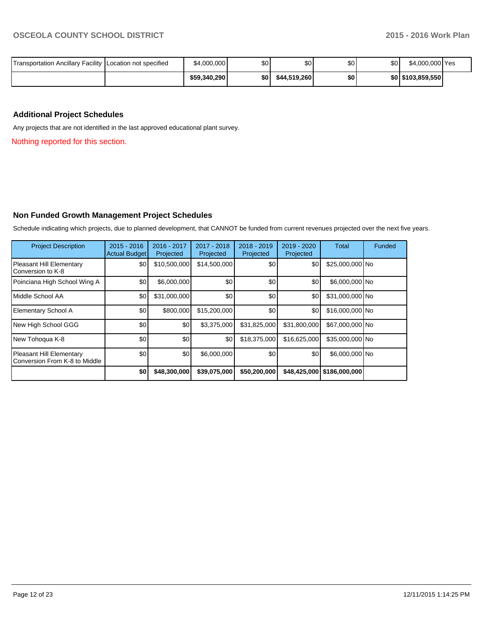| Transportation Ancillary Facility   Location not specified | \$4,000,000  | <b>\$01</b> | ደበ ነ<br>υU   | \$0 <sub>1</sub> | \$0 | \$4.000.000 Yes   |  |
|------------------------------------------------------------|--------------|-------------|--------------|------------------|-----|-------------------|--|
|                                                            | \$59,340,290 | \$0 I       | \$44.519.260 | \$0 <sub>1</sub> |     | \$0 \$103,859,550 |  |

## **Additional Project Schedules**

Any projects that are not identified in the last approved educational plant survey.

Nothing reported for this section.

## **Non Funded Growth Management Project Schedules**

Schedule indicating which projects, due to planned development, that CANNOT be funded from current revenues projected over the next five years.

| <b>Project Description</b>                                | $2015 - 2016$<br><b>Actual Budget</b> | 2016 - 2017<br>Projected | 2017 - 2018<br>Projected | $2018 - 2019$<br>Projected | 2019 - 2020<br>Projected | <b>Total</b>               | Funded |
|-----------------------------------------------------------|---------------------------------------|--------------------------|--------------------------|----------------------------|--------------------------|----------------------------|--------|
| Pleasant Hill Elementary<br>Conversion to K-8             | \$0                                   | \$10,500,000             | \$14,500,000             | \$0                        | \$0                      | \$25,000,000 No            |        |
| Poinciana High School Wing A                              | \$0                                   | \$6,000,000              | \$0                      | \$0                        | \$0                      | \$6,000,000 No             |        |
| Middle School AA                                          | \$0                                   | \$31,000,000             | \$0                      | \$0                        | \$0                      | \$31,000,000 No            |        |
| Elementary School A                                       | \$0                                   | \$800,000                | \$15,200,000             | \$0                        | \$0                      | $$16,000,000$ No           |        |
| New High School GGG                                       | \$0                                   | \$0                      | \$3,375,000              | \$31,825,000               | \$31,800,000             | \$67,000,000 No            |        |
| New Tohoqua K-8                                           | \$0                                   | \$0                      | \$0                      | \$18,375,000               | \$16,625,000             | \$35,000,000 No            |        |
| Pleasant Hill Elementary<br>Conversion From K-8 to Middle | \$0                                   | \$0                      | \$6,000,000              | \$0                        | \$0                      | \$6,000,000 No             |        |
|                                                           | \$0                                   | \$48,300,000             | \$39,075,000             | \$50,200,000               |                          | \$48,425,000 \$186,000,000 |        |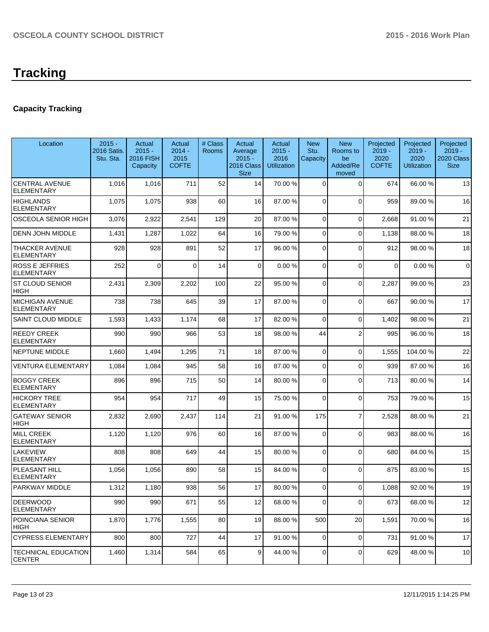# **Capacity Tracking**

| Location                                    | $2015 -$<br>2016 Satis.<br>Stu. Sta. | Actual<br>$2015 -$<br><b>2016 FISH</b><br>Capacity | Actual<br>$2014 -$<br>2015<br><b>COFTE</b> | # Class<br>Rooms | Actual<br>Average<br>$2015 -$<br>2016 Class<br><b>Size</b> | Actual<br>$2015 -$<br>2016<br>Utilization | <b>New</b><br>Stu.<br>Capacity | <b>New</b><br>Rooms to<br>be<br>Added/Re<br>moved | Projected<br>$2019 -$<br>2020<br><b>COFTE</b> | Projected<br>$2019 -$<br>2020<br><b>Utilization</b> | Projected<br>$2019 -$<br>2020 Class<br><b>Size</b> |
|---------------------------------------------|--------------------------------------|----------------------------------------------------|--------------------------------------------|------------------|------------------------------------------------------------|-------------------------------------------|--------------------------------|---------------------------------------------------|-----------------------------------------------|-----------------------------------------------------|----------------------------------------------------|
| <b>CENTRAL AVENUE</b><br>ELEMENTARY         | 1,016                                | 1,016                                              | 711                                        | 52               | 14                                                         | 70.00 %                                   | 0                              | $\Omega$                                          | 674                                           | 66.00 %                                             | 13                                                 |
| <b>HIGHLANDS</b><br><b>ELEMENTARY</b>       | 1,075                                | 1,075                                              | 938                                        | 60               | 16                                                         | 87.00 %                                   | 0                              | $\Omega$                                          | 959                                           | 89.00 %                                             | 16                                                 |
| OSCEOLA SENIOR HIGH                         | 3,076                                | 2,922                                              | 2,541                                      | 129              | 20                                                         | 87.00 %                                   | 0                              | $\Omega$                                          | 2,668                                         | 91.00%                                              | 21                                                 |
| <b>DENN JOHN MIDDLE</b>                     | 1,431                                | 1,287                                              | 1,022                                      | 64               | 16                                                         | 79.00 %                                   | 0                              | $\Omega$                                          | 1,138                                         | 88.00%                                              | 18                                                 |
| <b>THACKER AVENUE</b><br>ELEMENTARY         | 928                                  | 928                                                | 891                                        | 52               | 17                                                         | 96.00 %                                   | 0                              | $\Omega$                                          | 912                                           | 98.00 %                                             | 18                                                 |
| <b>ROSS E JEFFRIES</b><br>ELEMENTARY        | 252                                  | 0                                                  | $\Omega$                                   | 14               | $\Omega$                                                   | 0.00%                                     | 0                              | $\Omega$                                          | $\Omega$                                      | 0.00%                                               | 0                                                  |
| <b>ST CLOUD SENIOR</b><br>HIGH              | 2,431                                | 2,309                                              | 2,202                                      | 100              | 22                                                         | 95.00 %                                   | 0                              | $\Omega$                                          | 2,287                                         | 99.00 %                                             | 23                                                 |
| <b>MICHIGAN AVENUE</b><br><b>ELEMENTARY</b> | 738                                  | 738                                                | 645                                        | 39               | 17                                                         | 87.00 %                                   | 0                              | $\Omega$                                          | 667                                           | 90.00 %                                             | 17                                                 |
| <b>SAINT CLOUD MIDDLE</b>                   | 1,593                                | 1,433                                              | 1,174                                      | 68               | 17                                                         | 82.00 %                                   | 0                              | $\Omega$                                          | 1,402                                         | 98.00 %                                             | 21                                                 |
| <b>REEDY CREEK</b><br><b>ELEMENTARY</b>     | 990                                  | 990                                                | 966                                        | 53               | 18                                                         | 98.00 %                                   | 44                             | $\overline{2}$                                    | 995                                           | 96.00%                                              | 18                                                 |
| NEPTUNE MIDDLE                              | 1,660                                | 1,494                                              | 1,295                                      | 71               | 18                                                         | 87.00 %                                   | 0                              | $\Omega$                                          | 1,555                                         | 104.00%                                             | 22                                                 |
| <b>VENTURA ELEMENTARY</b>                   | 1,084                                | 1,084                                              | 945                                        | 58               | 16                                                         | 87.00 %                                   | 0                              | $\Omega$                                          | 939                                           | 87.00 %                                             | 16                                                 |
| <b>BOGGY CREEK</b><br><b>ELEMENTARY</b>     | 896                                  | 896                                                | 715                                        | 50               | 14                                                         | 80.00 %                                   | 0                              | $\Omega$                                          | 713                                           | 80.00%                                              | 14                                                 |
| HICKORY TREE<br><b>ELEMENTARY</b>           | 954                                  | 954                                                | 717                                        | 49               | 15                                                         | 75.00 %                                   | 0                              | $\Omega$                                          | 753                                           | 79.00 %                                             | 15                                                 |
| <b>GATEWAY SENIOR</b><br>HIGH               | 2,832                                | 2,690                                              | 2,437                                      | 114              | 21                                                         | 91.00 %                                   | 175                            | $\overline{7}$                                    | 2,528                                         | 88.00 %                                             | 21                                                 |
| <b>MILL CREEK</b><br><b>ELEMENTARY</b>      | 1,120                                | 1,120                                              | 976                                        | 60               | 16                                                         | 87.00 %                                   | 0                              | $\Omega$                                          | 983                                           | 88.00 %                                             | 16                                                 |
| LAKEVIEW<br><b>ELEMENTARY</b>               | 808                                  | 808                                                | 649                                        | 44               | 15                                                         | 80.00 %                                   | $\Omega$                       | $\Omega$                                          | 680                                           | 84.00%                                              | 15                                                 |
| PLEASANT HILL<br><b>ELEMENTARY</b>          | 1,056                                | 1,056                                              | 890                                        | 58               | 15                                                         | 84.00 %                                   | 0                              | $\Omega$                                          | 875                                           | 83.00 %                                             | 15                                                 |
| PARKWAY MIDDLE                              | 1,312                                | 1,180                                              | 938                                        | 56               | 17                                                         | 80.00 %                                   | 0                              | $\Omega$                                          | 1,088                                         | 92.00 %                                             | 19                                                 |
| <b>DEERWOOD</b><br><b>ELEMENTARY</b>        | 990                                  | 990                                                | 671                                        | 55               | 12                                                         | 68.00 %                                   | 0                              | $\Omega$                                          | 673                                           | 68.00 %                                             | 12                                                 |
| POINCIANA SENIOR<br>HIGH                    | 1,870                                | 1,776                                              | 1,555                                      | 80               | 19                                                         | 88.00 %                                   | 500                            | 20                                                | 1,591                                         | 70.00%                                              | 16                                                 |
| <b>CYPRESS ELEMENTARY</b>                   | 800                                  | 800                                                | 727                                        | 44               | 17                                                         | 91.00 %                                   | $\overline{0}$                 | $\overline{0}$                                    | 731                                           | 91.00%                                              | 17                                                 |
| <b>TECHNICAL EDUCATION</b><br><b>CENTER</b> | 1,460                                | 1,314                                              | 584                                        | 65               | 9                                                          | 44.00 %                                   | 0                              | $\Omega$                                          | 629                                           | 48.00%                                              | 10                                                 |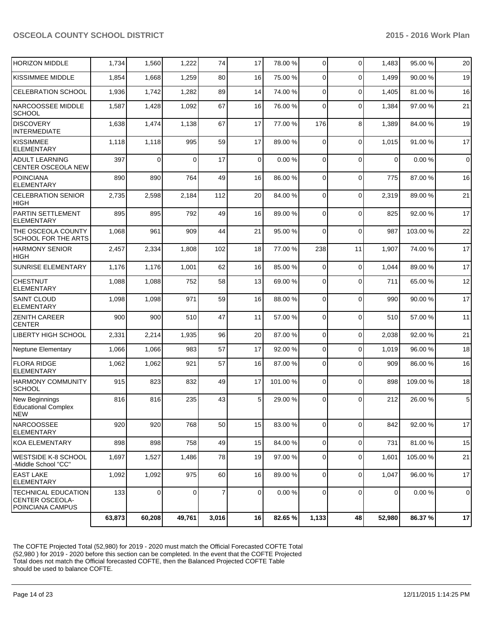|                                                                   | 63,873 | 60,208         | 49,761   | 3,016          | 16             | 82.65 %  | 1,133       | 48          | 52,980      | 86.37%   | 17          |
|-------------------------------------------------------------------|--------|----------------|----------|----------------|----------------|----------|-------------|-------------|-------------|----------|-------------|
| TECHNICAL EDUCATION<br><b>CENTER OSCEOLA-</b><br>POINCIANA CAMPUS | 133    | $\overline{0}$ | 0        | $\overline{7}$ | $\overline{0}$ | 0.00%    | 0           | $\mathbf 0$ | $\mathbf 0$ | 0.00%    | $\mathbf 0$ |
| EAST LAKE<br>ELEMENTARY                                           | 1,092  | 1,092          | 975      | 60             | 16             | 89.00 %  | 0           | $\Omega$    | 1,047       | 96.00 %  | 17          |
| WESTSIDE K-8 SCHOOL<br>-Middle School "CC"                        | 1,697  | 1,527          | 1,486    | 78             | 19             | 97.00 %  | 0           | 0           | 1,601       | 105.00 % | 21          |
| <b>IKOA ELEMENTARY</b>                                            | 898    | 898            | 758      | 49             | 15             | 84.00 %  | $\mathbf 0$ | $\mathbf 0$ | 731         | 81.00%   | 15          |
| INARCOOSSEE<br><b>ELEMENTARY</b>                                  | 920    | 920            | 768      | 50             | 15             | 83.00 %  | 0           | $\mathbf 0$ | 842         | 92.00 %  | 17          |
| New Beginnings<br><b>Educational Complex</b><br>NEW               | 816    | 816            | 235      | 43             | 5              | 29.00 %  | $\Omega$    | $\Omega$    | 212         | 26.00 %  | 5           |
| <b>HARMONY COMMUNITY</b><br><b>SCHOOL</b>                         | 915    | 823            | 832      | 49             | 17             | 101.00 % | 0           | $\Omega$    | 898         | 109.00%  | 18          |
| <b>FLORA RIDGE</b><br><b>ELEMENTARY</b>                           | 1,062  | 1,062          | 921      | 57             | 16             | 87.00 %  | 0           | $\Omega$    | 909         | 86.00%   | 16          |
| Neptune Elementary                                                | 1,066  | 1,066          | 983      | 57             | 17             | 92.00 %  | 0           | $\Omega$    | 1,019       | 96.00%   | 18          |
| <b>LIBERTY HIGH SCHOOL</b>                                        | 2,331  | 2,214          | 1,935    | 96             | 20             | 87.00 %  | 0           | $\mathbf 0$ | 2,038       | 92.00 %  | 21          |
| <b>ZENITH CAREER</b><br><b>CENTER</b>                             | 900    | 900            | 510      | 47             | 11             | 57.00 %  | 0           | $\Omega$    | 510         | 57.00 %  | 11          |
| <b>SAINT CLOUD</b><br><b>ELEMENTARY</b>                           | 1,098  | 1,098          | 971      | 59             | 16             | 88.00 %  | 0           | $\Omega$    | 990         | 90.00%   | 17          |
| <b>CHESTNUT</b><br><b>ELEMENTARY</b>                              | 1,088  | 1,088          | 752      | 58             | 13             | 69.00 %  | 0           | $\Omega$    | 711         | 65.00 %  | 12          |
| <b>SUNRISE ELEMENTARY</b>                                         | 1,176  | 1,176          | 1,001    | 62             | 16             | 85.00 %  | $\mathbf 0$ | $\mathbf 0$ | 1,044       | 89.00 %  | 17          |
| <b>HARMONY SENIOR</b><br><b>HIGH</b>                              | 2,457  | 2,334          | 1,808    | 102            | 18             | 77.00 %  | 238         | 11          | 1,907       | 74.00%   | 17          |
| THE OSCEOLA COUNTY<br>SCHOOL FOR THE ARTS                         | 1,068  | 961            | 909      | 44             | 21             | 95.00 %  | $\Omega$    | $\Omega$    | 987         | 103.00%  | 22          |
| PARTIN SETTLEMENT<br><b>ELEMENTARY</b>                            | 895    | 895            | 792      | 49             | 16             | 89.00 %  | 0           | $\Omega$    | 825         | 92.00%   | 17          |
| <b>CELEBRATION SENIOR</b><br><b>HIGH</b>                          | 2,735  | 2,598          | 2,184    | 112            | 20             | 84.00 %  | 0           | $\Omega$    | 2,319       | 89.00 %  | 21          |
| <b>POINCIANA</b><br><b>ELEMENTARY</b>                             | 890    | 890            | 764      | 49             | 16             | 86.00 %  | $\Omega$    | $\Omega$    | 775         | 87.00 %  | 16          |
| <b>ADULT LEARNING</b><br><b>CENTER OSCEOLA NEW</b>                | 397    | $\mathbf 0$    | $\Omega$ | 17             | 0              | 0.00%    | $\Omega$    | $\Omega$    | $\Omega$    | 0.00%    | $\mathbf 0$ |
| <b>KISSIMMEE</b><br><b>ELEMENTARY</b>                             | 1,118  | 1,118          | 995      | 59             | 17             | 89.00 %  | $\Omega$    | $\Omega$    | 1,015       | 91.00%   | 17          |
| <b>DISCOVERY</b><br><b>INTERMEDIATE</b>                           | 1,638  | 1,474          | 1,138    | 67             | 17             | 77.00 %  | 176         | 8           | 1,389       | 84.00%   | 19          |
| NARCOOSSEE MIDDLE<br><b>SCHOOL</b>                                | 1,587  | 1,428          | 1,092    | 67             | 16             | 76.00 %  | $\Omega$    | $\Omega$    | 1,384       | 97.00 %  | 21          |
| <b>CELEBRATION SCHOOL</b>                                         | 1,936  | 1,742          | 1,282    | 89             | 14             | 74.00 %  | 0           | $\Omega$    | 1,405       | 81.00%   | 16          |
| KISSIMMEE MIDDLE                                                  | 1,854  | 1,668          | 1,259    | 80             | 16             | 75.00 %  | 0           | $\Omega$    | 1,499       | 90.00 %  | 19          |
| <b>HORIZON MIDDLE</b>                                             | 1,734  | 1,560          | 1,222    | 74             | 17             | 78.00 %  | 0           | $\Omega$    | 1,483       | 95.00 %  | 20          |

The COFTE Projected Total (52,980) for 2019 - 2020 must match the Official Forecasted COFTE Total (52,980 ) for 2019 - 2020 before this section can be completed. In the event that the COFTE Projected Total does not match the Official forecasted COFTE, then the Balanced Projected COFTE Table should be used to balance COFTE.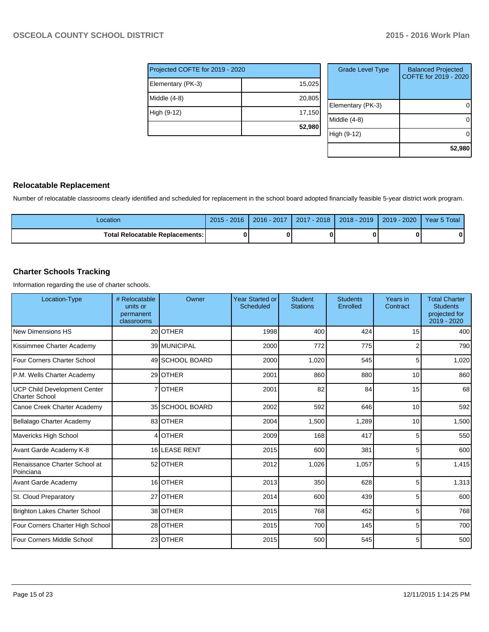| Projected COFTE for 2019 - 2020 |        |  |  |  |  |  |  |
|---------------------------------|--------|--|--|--|--|--|--|
| Elementary (PK-3)               | 15,025 |  |  |  |  |  |  |
| Middle (4-8)                    | 20,805 |  |  |  |  |  |  |
| High (9-12)                     | 17,150 |  |  |  |  |  |  |
|                                 | 52,980 |  |  |  |  |  |  |

| <b>Grade Level Type</b> | <b>Balanced Projected</b><br>COFTE for 2019 - 2020 |
|-------------------------|----------------------------------------------------|
| Elementary (PK-3)       |                                                    |
| Middle (4-8)            |                                                    |
| High (9-12)             |                                                    |
|                         | 52,980                                             |

## **Relocatable Replacement**

Number of relocatable classrooms clearly identified and scheduled for replacement in the school board adopted financially feasible 5-year district work program.

| Location                                 | $2015 - 2016$ | 2016 - 2017 | 2017 - 2018 | $2018 - 2019$ | $2019 - 2020$ | Year 5 Total |
|------------------------------------------|---------------|-------------|-------------|---------------|---------------|--------------|
| <b>Total Relocatable Replacements: I</b> |               |             |             |               |               | 0            |

## **Charter Schools Tracking**

Information regarding the use of charter schools.

| Location-Type                                                | # Relocatable<br>units or<br>permanent<br>classrooms | Owner           | <b>Year Started or</b><br><b>Scheduled</b> | Student<br><b>Stations</b> | <b>Students</b><br>Enrolled | Years in<br>Contract | <b>Total Charter</b><br><b>Students</b><br>projected for<br>2019 - 2020 |
|--------------------------------------------------------------|------------------------------------------------------|-----------------|--------------------------------------------|----------------------------|-----------------------------|----------------------|-------------------------------------------------------------------------|
| <b>New Dimensions HS</b>                                     |                                                      | 20 OTHER        | 1998                                       | 400                        | 424                         | 15                   | 400                                                                     |
| Kissimmee Charter Academy                                    |                                                      | 39 MUNICIPAL    | 2000                                       | 772                        | 775                         |                      | 790                                                                     |
| Four Corners Charter School                                  |                                                      | 49 SCHOOL BOARD | 2000                                       | 1,020                      | 545                         | 5                    | 1,020                                                                   |
| P.M. Wells Charter Academy                                   |                                                      | 29 <b>OTHER</b> | 2001                                       | 860                        | 880                         | 10                   | 860                                                                     |
| <b>UCP Child Development Center</b><br><b>Charter School</b> |                                                      | 7 OTHER         | 2001                                       | 82                         | 84                          | 15                   | 68                                                                      |
| Canoe Creek Charter Academy                                  |                                                      | 35 SCHOOL BOARD | 2002                                       | 592                        | 646                         | 10                   | 592                                                                     |
| Bellalago Charter Academy                                    |                                                      | 83 OTHER        | 2004                                       | 1,500                      | 1,289                       | 10                   | 1,500                                                                   |
| <b>Mavericks High School</b>                                 |                                                      | 4 OTHER         | 2009                                       | 168                        | 417                         | 5                    | 550                                                                     |
| Avant Garde Academy K-8                                      |                                                      | 16 LEASE RENT   | 2015                                       | 600                        | 381                         | 5                    | 600                                                                     |
| Renaissance Charter School at<br>Poinciana                   |                                                      | 52 OTHER        | 2012                                       | 1,026                      | 1,057                       | 5                    | 1,415                                                                   |
| <b>Avant Garde Academy</b>                                   |                                                      | 16 OTHER        | 2013                                       | 350                        | 628                         | 5                    | 1,313                                                                   |
| St. Cloud Preparatory                                        |                                                      | 27 OTHER        | 2014                                       | 600                        | 439                         | 5                    | 600                                                                     |
| <b>Brighton Lakes Charter School</b>                         |                                                      | 38 OTHER        | 2015                                       | 768                        | 452                         | 5                    | 768                                                                     |
| Four Corners Charter High School                             |                                                      | 28 OTHER        | 2015                                       | 700                        | 145                         | 5                    | 700                                                                     |
| Four Corners Middle School                                   |                                                      | 23 OTHER        | 2015                                       | 500                        | 545                         | 5                    | 500                                                                     |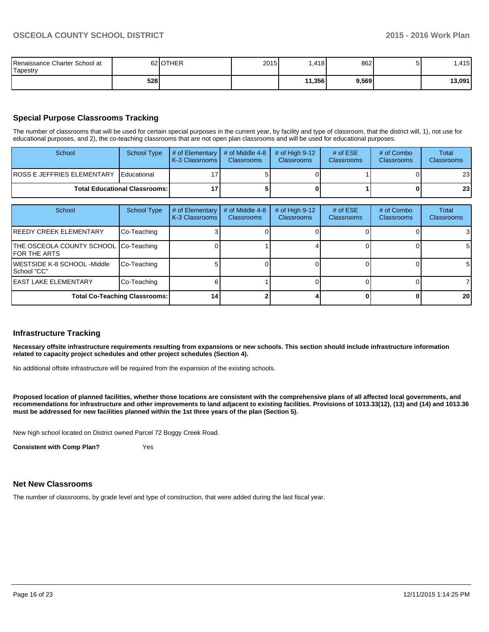| Renaissance Charter School at<br>Tapestry |     | 62 OTHER | 2015 | .418   | 862   | וכ | .415   |
|-------------------------------------------|-----|----------|------|--------|-------|----|--------|
|                                           | 528 |          |      | 11,356 | 9,569 |    | 13,091 |

## **Special Purpose Classrooms Tracking**

The number of classrooms that will be used for certain special purposes in the current year, by facility and type of classroom, that the district will, 1), not use for educational purposes, and 2), the co-teaching classrooms that are not open plan classrooms and will be used for educational purposes.

| School                          | School Type | $\parallel$ # of Elementary $\parallel$ # of Middle 4-8 $\parallel$<br><b>K-3 Classrooms</b> | <b>Classrooms</b> | $\#$ of Hiah 9-12 $\parallel$<br><b>Classrooms</b> | # of $ESE$<br><b>Classrooms</b> | # of Combo<br><b>Classrooms</b> | Total<br><b>Classrooms</b> |
|---------------------------------|-------------|----------------------------------------------------------------------------------------------|-------------------|----------------------------------------------------|---------------------------------|---------------------------------|----------------------------|
| IROSS E JEFFRIES ELEMENTARY     | Educational |                                                                                              |                   |                                                    |                                 |                                 | 23                         |
| Total Educational Classrooms: I |             |                                                                                              |                   |                                                    | 0                               | 23                              |                            |

| School                                                 | School Type | # of Elementary<br>K-3 Classrooms | # of Middle 4-8<br><b>Classrooms</b> | # of High $9-12$<br>Classrooms | # of $ESE$<br><b>Classrooms</b> | # of Combo<br><b>Classrooms</b> | Total<br><b>Classrooms</b> |
|--------------------------------------------------------|-------------|-----------------------------------|--------------------------------------|--------------------------------|---------------------------------|---------------------------------|----------------------------|
| <b>REEDY CREEK ELEMENTARY</b>                          | Co-Teaching |                                   |                                      |                                |                                 |                                 | 3                          |
| THE OSCEOLA COUNTY SCHOOL Co-Teaching<br>IFOR THE ARTS |             |                                   |                                      |                                |                                 |                                 | 5 <sub>l</sub>             |
| WESTSIDE K-8 SCHOOL -Middle<br>ISchool "CC"            | Co-Teaching |                                   |                                      |                                |                                 |                                 | 51                         |
| <b>IEAST LAKE ELEMENTARY</b>                           | Co-Teaching |                                   |                                      |                                |                                 |                                 |                            |
| <b>Total Co-Teaching Classrooms:</b>                   | 14          |                                   |                                      |                                |                                 | 20 <sub>l</sub>                 |                            |

#### **Infrastructure Tracking**

**Necessary offsite infrastructure requirements resulting from expansions or new schools. This section should include infrastructure information related to capacity project schedules and other project schedules (Section 4).**

No additional offsite infrastructure will be required from the expansion of the existing schools.

**Proposed location of planned facilities, whether those locations are consistent with the comprehensive plans of all affected local governments, and recommendations for infrastructure and other improvements to land adjacent to existing facilities. Provisions of 1013.33(12), (13) and (14) and 1013.36 must be addressed for new facilities planned within the 1st three years of the plan (Section 5).**

New high school located on District owned Parcel 72 Boggy Creek Road.

**Consistent with Comp Plan?** Yes

### **Net New Classrooms**

The number of classrooms, by grade level and type of construction, that were added during the last fiscal year.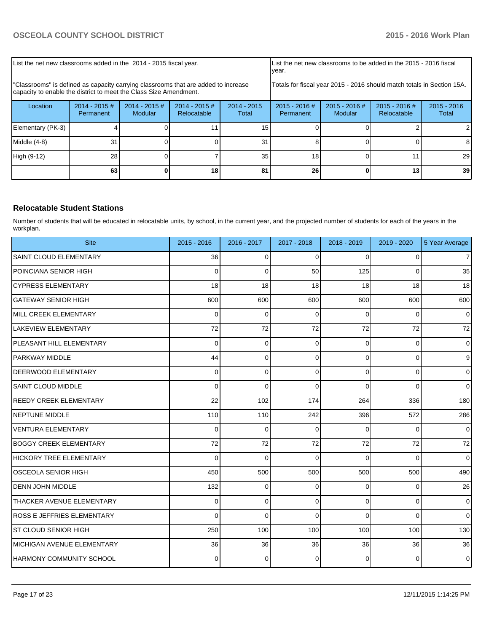| List the net new classrooms added in the 2014 - 2015 fiscal year.                                                                                       |                                                                        |                            | List the net new classrooms to be added in the 2015 - 2016 fiscal<br>Ivear. |                        |                              |                        |  |    |
|---------------------------------------------------------------------------------------------------------------------------------------------------------|------------------------------------------------------------------------|----------------------------|-----------------------------------------------------------------------------|------------------------|------------------------------|------------------------|--|----|
| "Classrooms" is defined as capacity carrying classrooms that are added to increase<br>capacity to enable the district to meet the Class Size Amendment. | Totals for fiscal year 2015 - 2016 should match totals in Section 15A. |                            |                                                                             |                        |                              |                        |  |    |
| Location                                                                                                                                                | $2014 - 2015 \#$<br>Permanent                                          | $2014 - 2015$ #<br>Modular | $2014 - 2015$ #<br>Relocatable                                              | $2014 - 2015$<br>Total | $2015 - 2016$ #<br>Permanent | $2015 - 2016$<br>Total |  |    |
| Elementary (PK-3)                                                                                                                                       |                                                                        |                            |                                                                             | 15                     |                              |                        |  |    |
| Middle $(4-8)$                                                                                                                                          | 31                                                                     |                            |                                                                             | 31                     |                              |                        |  |    |
| High (9-12)                                                                                                                                             | 28                                                                     |                            |                                                                             | 35 <sub>1</sub>        | 18                           |                        |  | 29 |
|                                                                                                                                                         | 63                                                                     |                            | 18                                                                          | 81                     | 26                           |                        |  | 39 |

## **Relocatable Student Stations**

Number of students that will be educated in relocatable units, by school, in the current year, and the projected number of students for each of the years in the workplan.

| <b>Site</b>                       | 2015 - 2016 | 2016 - 2017    | 2017 - 2018 | 2018 - 2019    | 2019 - 2020 | 5 Year Average   |
|-----------------------------------|-------------|----------------|-------------|----------------|-------------|------------------|
| SAINT CLOUD ELEMENTARY            | 36          | $\Omega$       | $\Omega$    | $\Omega$       | 0           | $\overline{7}$   |
| POINCIANA SENIOR HIGH             | $\Omega$    | $\overline{0}$ | 50          | 125            | 0           | 35               |
| <b>CYPRESS ELEMENTARY</b>         | 18          | 18             | 18          | 18             | 18          | 18               |
| İGATEWAY SENIOR HIGH              | 600         | 600            | 600         | 600            | 600         | 600              |
| MILL CREEK ELEMENTARY             | $\Omega$    | $\mathbf 0$    | $\Omega$    | $\Omega$       | 0           | $\mathbf 0$      |
| LAKEVIEW ELEMENTARY               | 72          | 72             | 72          | 72             | 72          | 72               |
| PLEASANT HILL ELEMENTARY          | 0           | 0              | $\Omega$    | 0              | 0           | $\mathbf 0$      |
| <b>PARKWAY MIDDLE</b>             | 44          | 0              | $\Omega$    | $\overline{0}$ | 0           | $\boldsymbol{9}$ |
| DEERWOOD ELEMENTARY               | $\Omega$    | $\Omega$       | $\Omega$    | $\Omega$       | $\Omega$    | $\Omega$         |
| SAINT CLOUD MIDDLE                | 0           | 0              | $\mathbf 0$ | 0              | 0           | $\mathbf 0$      |
| <b>REEDY CREEK ELEMENTARY</b>     | 22          | 102            | 174         | 264            | 336         | 180              |
| <b>INEPTUNE MIDDLE</b>            | 110         | 110            | 242         | 396            | 572         | 286              |
| VENTURA ELEMENTARY                | $\Omega$    | $\Omega$       | $\Omega$    | $\Omega$       | $\Omega$    | $\Omega$         |
| <b>BOGGY CREEK ELEMENTARY</b>     | 72          | 72             | 72          | 72             | 72          | 72               |
| <b>HICKORY TREE ELEMENTARY</b>    | $\Omega$    | $\mathbf 0$    | $\Omega$    | $\Omega$       | $\Omega$    | $\Omega$         |
| IOSCEOLA SENIOR HIGH              | 450         | 500            | 500         | 500            | 500         | 490              |
| <b>DENN JOHN MIDDLE</b>           | 132         | 0              | $\Omega$    | $\overline{0}$ | 0           | 26               |
| THACKER AVENUE ELEMENTARY         | $\Omega$    | 0              | $\Omega$    | $\Omega$       | 0           | $\mathbf 0$      |
| <b>ROSS E JEFFRIES ELEMENTARY</b> | $\Omega$    | $\Omega$       | $\Omega$    | $\Omega$       | $\Omega$    | $\Omega$         |
| ST CLOUD SENIOR HIGH              | 250         | 100            | 100         | 100            | 100         | 130              |
| IMICHIGAN AVENUE ELEMENTARY       | 36          | 36             | 36          | 36             | 36          | 36               |
| IHARMONY COMMUNITY SCHOOL         | 0           | $\Omega$       | $\Omega$    | $\Omega$       | $\Omega$    | $\Omega$         |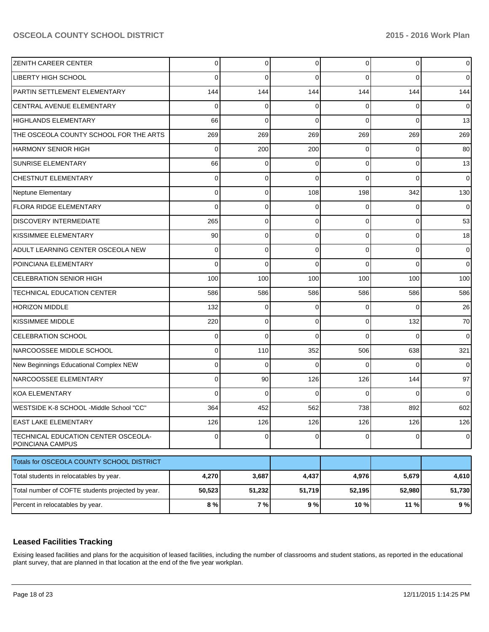| Percent in relocatables by year.                        | 8 %            | 7%       | 9%       | 10 %     | 11 %     | 9%             |
|---------------------------------------------------------|----------------|----------|----------|----------|----------|----------------|
| Total number of COFTE students projected by year.       | 50,523         | 51,232   | 51,719   | 52,195   | 52,980   | 51,730         |
| Total students in relocatables by year.                 | 4,270          | 3,687    | 4,437    | 4,976    | 5,679    | 4,610          |
| Totals for OSCEOLA COUNTY SCHOOL DISTRICT               |                |          |          |          |          |                |
| TECHNICAL EDUCATION CENTER OSCEOLA-<br>POINCIANA CAMPUS | $\overline{0}$ | 0        | 0        | 0        | 0        | $\overline{0}$ |
| <b>EAST LAKE ELEMENTARY</b>                             | 126            | 126      | 126      | 126      | 126      | 126            |
| WESTSIDE K-8 SCHOOL -Middle School "CC"                 | 364            | 452      | 562      | 738      | 892      | 602            |
| <b>KOA ELEMENTARY</b>                                   | 0              | 0        | 0        | C        | 0        | 0              |
| NARCOOSSEE ELEMENTARY                                   | 0              | 90       | 126      | 126      | 144      | 97             |
| New Beginnings Educational Complex NEW                  | 0              | 0        | 0        | C        | 0        | 0              |
| NARCOOSSEE MIDDLE SCHOOL                                | 0              | 110      | 352      | 506      | 638      | 321            |
| <b>CELEBRATION SCHOOL</b>                               | 0              | $\Omega$ | $\Omega$ | 0        | 0        | 0              |
| KISSIMMEE MIDDLE                                        | 220            | 0        | 0        | $\Omega$ | 132      | 70             |
| HORIZON MIDDLE                                          | 132            | 0        | 0        | 0        | 0        | 26             |
| TECHNICAL EDUCATION CENTER                              | 586            | 586      | 586      | 586      | 586      | 586            |
| <b>CELEBRATION SENIOR HIGH</b>                          | 100            | 100      | 100      | 100      | 100      | 100            |
| POINCIANA ELEMENTARY                                    | 0              | 0        | 0        | 0        | $\Omega$ | 0              |
| ADULT LEARNING CENTER OSCEOLA NEW                       | 0              | 0        | 0        | $\Omega$ | 0        | 0              |
| KISSIMMEE ELEMENTARY                                    | 90             | 0        | 0        | $\Omega$ | 0        | 18             |
| <b>DISCOVERY INTERMEDIATE</b>                           | 265            | 0        | 0        | $\Omega$ | 0        | 53             |
| <b>FLORA RIDGE ELEMENTARY</b>                           | 0              | 0        | 0        | 0        | 0        | 0              |
| Neptune Elementary                                      | 0              | 0        | 108      | 198      | 342      | 130            |
| <b>CHESTNUT ELEMENTARY</b>                              | 0              | 0        | 0        | 0        | $\Omega$ | 0              |
| <b>SUNRISE ELEMENTARY</b>                               | 66             | 0        | 0        | $\Omega$ | 0        | 13             |
| <b>HARMONY SENIOR HIGH</b>                              | 0              | 200      | 200      | 0        | 0        | 80             |
| THE OSCEOLA COUNTY SCHOOL FOR THE ARTS                  | 269            | 269      | 269      | 269      | 269      | 269            |
| <b>HIGHLANDS ELEMENTARY</b>                             | 66             | 0        | $\Omega$ | 0        | $\Omega$ | 13             |
| CENTRAL AVENUE ELEMENTARY                               | 0              | 0        | 0        | 0        | 0        | 0              |
| PARTIN SETTLEMENT ELEMENTARY                            | 144            | 144      | 144      | 144      | 144      | 144            |
| <b>LIBERTY HIGH SCHOOL</b>                              | 0              | $\Omega$ | 0        | 0        | 0        | 0              |
| <b>ZENITH CAREER CENTER</b>                             | 0              | 0        | 0        | $\Omega$ | 0        | 0              |

## **Leased Facilities Tracking**

Exising leased facilities and plans for the acquisition of leased facilities, including the number of classrooms and student stations, as reported in the educational plant survey, that are planned in that location at the end of the five year workplan.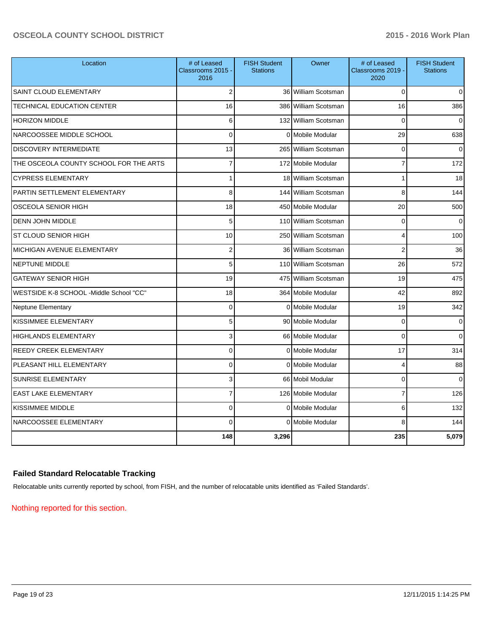| Location                                | # of Leased<br>Classrooms 2015 -<br>2016 | <b>FISH Student</b><br><b>Stations</b> | Owner                | # of Leased<br>Classrooms 2019 -<br>2020 | <b>FISH Student</b><br><b>Stations</b> |
|-----------------------------------------|------------------------------------------|----------------------------------------|----------------------|------------------------------------------|----------------------------------------|
| SAINT CLOUD ELEMENTARY                  | $\overline{2}$                           |                                        | 36 William Scotsman  | $\Omega$                                 | $\overline{0}$                         |
| TECHNICAL EDUCATION CENTER              | 16                                       |                                        | 386 William Scotsman | 16                                       | 386                                    |
| <b>HORIZON MIDDLE</b>                   | 6                                        |                                        | 132 William Scotsman | $\Omega$                                 | $\overline{0}$                         |
| NARCOOSSEE MIDDLE SCHOOL                | $\Omega$                                 |                                        | 0 Mobile Modular     | 29                                       | 638                                    |
| <b>DISCOVERY INTERMEDIATE</b>           | 13                                       |                                        | 265 William Scotsman | $\Omega$                                 | $\Omega$                               |
| THE OSCEOLA COUNTY SCHOOL FOR THE ARTS  | 7                                        |                                        | 172 Mobile Modular   | 7                                        | 172                                    |
| <b>CYPRESS ELEMENTARY</b>               | 1                                        |                                        | 18 William Scotsman  | 1                                        | 18                                     |
| PARTIN SETTLEMENT ELEMENTARY            | 8                                        |                                        | 144 William Scotsman | 8                                        | 144                                    |
| <b>OSCEOLA SENIOR HIGH</b>              | 18                                       |                                        | 450 Mobile Modular   | 20                                       | 500                                    |
| <b>DENN JOHN MIDDLE</b>                 | 5                                        |                                        | 110 William Scotsman | 0                                        | $\overline{0}$                         |
| ST CLOUD SENIOR HIGH                    | 10                                       |                                        | 250 William Scotsman | 4                                        | 100                                    |
| MICHIGAN AVENUE ELEMENTARY              | $\overline{2}$                           |                                        | 36 William Scotsman  | $\overline{2}$                           | 36                                     |
| <b>NEPTUNE MIDDLE</b>                   | 5                                        |                                        | 110 William Scotsman | 26                                       | 572                                    |
| <b>GATEWAY SENIOR HIGH</b>              | 19                                       |                                        | 475 William Scotsman | 19                                       | 475                                    |
| WESTSIDE K-8 SCHOOL -Middle School "CC" | 18                                       |                                        | 364 Mobile Modular   | 42                                       | 892                                    |
| <b>Neptune Elementary</b>               | $\mathbf 0$                              |                                        | 0 Mobile Modular     | 19                                       | 342                                    |
| KISSIMMEE ELEMENTARY                    | 5                                        |                                        | 90 Mobile Modular    | $\Omega$                                 | $\overline{0}$                         |
| <b>HIGHLANDS ELEMENTARY</b>             | 3                                        |                                        | 66 Mobile Modular    | $\mathbf 0$                              | $\overline{0}$                         |
| <b>REEDY CREEK ELEMENTARY</b>           | $\Omega$                                 |                                        | 0 Mobile Modular     | 17                                       | 314                                    |
| PLEASANT HILL ELEMENTARY                | $\mathbf 0$                              |                                        | 0 Mobile Modular     | 4                                        | 88                                     |
| <b>SUNRISE ELEMENTARY</b>               | 3                                        |                                        | 66 Mobil Modular     | $\Omega$                                 | $\mathbf{0}$                           |
| <b>EAST LAKE ELEMENTARY</b>             | $\overline{7}$                           |                                        | 126 Mobile Modular   | $\overline{7}$                           | 126                                    |
| <b>KISSIMMEE MIDDLE</b>                 | $\Omega$                                 |                                        | 0 Mobile Modular     | 6                                        | 132                                    |
| NARCOOSSEE ELEMENTARY                   | $\Omega$                                 |                                        | 0 Mobile Modular     | 8                                        | 144                                    |
|                                         | 148                                      | 3,296                                  |                      | 235                                      | 5,079                                  |

# **Failed Standard Relocatable Tracking**

Relocatable units currently reported by school, from FISH, and the number of relocatable units identified as 'Failed Standards'.

Nothing reported for this section.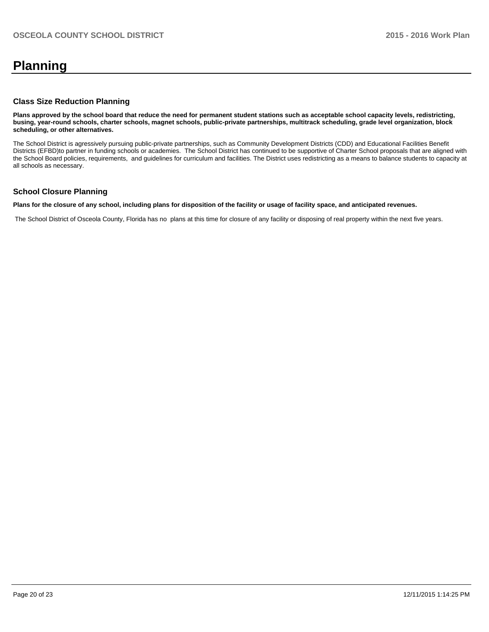# **Planning**

### **Class Size Reduction Planning**

**Plans approved by the school board that reduce the need for permanent student stations such as acceptable school capacity levels, redistricting, busing, year-round schools, charter schools, magnet schools, public-private partnerships, multitrack scheduling, grade level organization, block scheduling, or other alternatives.**

The School District is agressively pursuing public-private partnerships, such as Community Development Districts (CDD) and Educational Facilities Benefit Districts (EFBD)to partner in funding schools or academies. The School District has continued to be supportive of Charter School proposals that are aligned with the School Board policies, requirements, and guidelines for curriculum and facilities. The District uses redistricting as a means to balance students to capacity at all schools as necessary.

### **School Closure Planning**

**Plans for the closure of any school, including plans for disposition of the facility or usage of facility space, and anticipated revenues.**

The School District of Osceola County, Florida has no plans at this time for closure of any facility or disposing of real property within the next five years.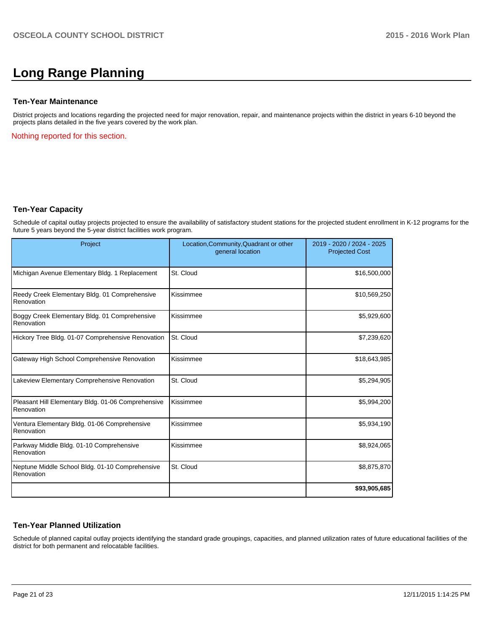# **Long Range Planning**

### **Ten-Year Maintenance**

District projects and locations regarding the projected need for major renovation, repair, and maintenance projects within the district in years 6-10 beyond the projects plans detailed in the five years covered by the work plan.

Nothing reported for this section.

### **Ten-Year Capacity**

Schedule of capital outlay projects projected to ensure the availability of satisfactory student stations for the projected student enrollment in K-12 programs for the future 5 years beyond the 5-year district facilities work program.

| Project                                                          | Location, Community, Quadrant or other<br>general location | 2019 - 2020 / 2024 - 2025<br><b>Projected Cost</b> |
|------------------------------------------------------------------|------------------------------------------------------------|----------------------------------------------------|
| Michigan Avenue Elementary Bldg. 1 Replacement                   | St. Cloud                                                  | \$16,500,000                                       |
| Reedy Creek Elementary Bldg. 01 Comprehensive<br>Renovation      | Kissimmee                                                  | \$10,569,250                                       |
| Boggy Creek Elementary Bldg. 01 Comprehensive<br>Renovation      | Kissimmee                                                  | \$5,929,600                                        |
| Hickory Tree Bldg. 01-07 Comprehensive Renovation                | St. Cloud                                                  | \$7,239,620                                        |
| Gateway High School Comprehensive Renovation                     | Kissimmee                                                  | \$18,643,985                                       |
| Lakeview Elementary Comprehensive Renovation                     | St. Cloud                                                  | \$5,294,905                                        |
| Pleasant Hill Elementary Bldg. 01-06 Comprehensive<br>Renovation | Kissimmee                                                  | \$5,994,200                                        |
| Ventura Elementary Bldg. 01-06 Comprehensive<br>Renovation       | Kissimmee                                                  | \$5,934,190                                        |
| Parkway Middle Bldg. 01-10 Comprehensive<br>Renovation           | Kissimmee                                                  | \$8,924,065                                        |
| Neptune Middle School Bldg. 01-10 Comprehensive<br>Renovation    | St. Cloud                                                  | \$8,875,870                                        |
|                                                                  |                                                            | \$93,905,685                                       |

### **Ten-Year Planned Utilization**

Schedule of planned capital outlay projects identifying the standard grade groupings, capacities, and planned utilization rates of future educational facilities of the district for both permanent and relocatable facilities.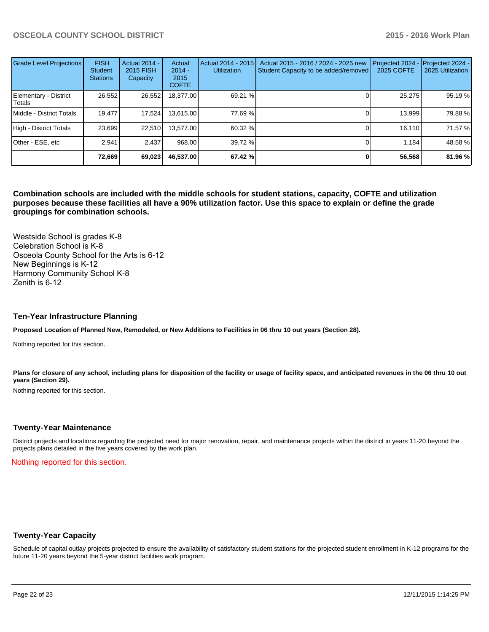| Grade Level Projections         | <b>FISH</b><br><b>Student</b><br><b>Stations</b> | <b>Actual 2014 -</b><br>2015 FISH<br>Capacity | Actual<br>$2014 -$<br>2015<br><b>COFTE</b> | Actual 2014 - 2015<br><b>Utilization</b> | Actual 2015 - 2016 / 2024 - 2025 new<br>Student Capacity to be added/removed | Projected 2024<br>2025 COFTE | Projected 2024 -<br>2025 Utilization |
|---------------------------------|--------------------------------------------------|-----------------------------------------------|--------------------------------------------|------------------------------------------|------------------------------------------------------------------------------|------------------------------|--------------------------------------|
| Elementary - District<br>Totals | 26,552                                           | 26,552                                        | 18,377.00                                  | 69.21 %                                  |                                                                              | 25,275                       | 95.19 %                              |
| Middle - District Totals        | 19.477                                           | 17,524                                        | 13,615.00                                  | 77.69 %                                  |                                                                              | 13,999                       | 79.88%                               |
| High - District Totals          | 23.699                                           | 22,510                                        | 13.577.00                                  | 60.32 %                                  |                                                                              | 16.110                       | 71.57 %                              |
| Other - ESE, etc                | 2.941                                            | 2.437                                         | 968.00                                     | 39.72 %                                  |                                                                              | 1.184                        | 48.58%                               |
|                                 | 72,669                                           | 69,023                                        | 46.537.00                                  | 67.42 %                                  |                                                                              | 56,568                       | 81.96 %                              |

**Combination schools are included with the middle schools for student stations, capacity, COFTE and utilization purposes because these facilities all have a 90% utilization factor. Use this space to explain or define the grade groupings for combination schools.**

Westside School is grades K-8 Celebration School is K-8 Osceola County School for the Arts is 6-12 New Beginnings is K-12 Harmony Community School K-8 Zenith is  $6-12$ 

#### **Ten-Year Infrastructure Planning**

**Proposed Location of Planned New, Remodeled, or New Additions to Facilities in 06 thru 10 out years (Section 28).**

Nothing reported for this section.

Plans for closure of any school, including plans for disposition of the facility or usage of facility space, and anticipated revenues in the 06 thru 10 out **years (Section 29).**

Nothing reported for this section.

#### **Twenty-Year Maintenance**

District projects and locations regarding the projected need for major renovation, repair, and maintenance projects within the district in years 11-20 beyond the projects plans detailed in the five years covered by the work plan.

Nothing reported for this section.

### **Twenty-Year Capacity**

Schedule of capital outlay projects projected to ensure the availability of satisfactory student stations for the projected student enrollment in K-12 programs for the future 11-20 years beyond the 5-year district facilities work program.